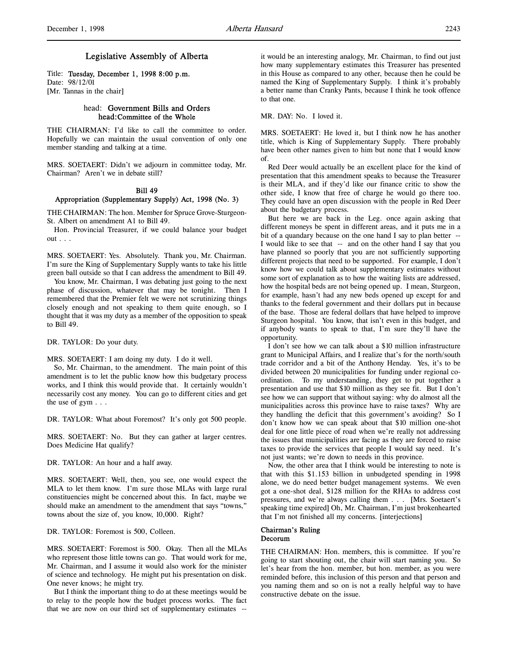# Legislative Assembly of Alberta

Title: Tuesday, December 1, 1998 8:00 p.m. Date: 98/12/01 [Mr. Tannas in the chair]

### head: Government Bills and Orders head:Committee of the Whole

THE CHAIRMAN: I'd like to call the committee to order. Hopefully we can maintain the usual convention of only one member standing and talking at a time.

MRS. SOETAERT: Didn't we adjourn in committee today, Mr. Chairman? Aren't we in debate still?

### Bill 49

#### Appropriation (Supplementary Supply) Act, 1998 (No. 3)

THE CHAIRMAN: The hon. Member for Spruce Grove-Sturgeon-St. Albert on amendment A1 to Bill 49.

Hon. Provincial Treasurer, if we could balance your budget out . . .

MRS. SOETAERT: Yes. Absolutely. Thank you, Mr. Chairman. I'm sure the King of Supplementary Supply wants to take his little green ball outside so that I can address the amendment to Bill 49.

You know, Mr. Chairman, I was debating just going to the next phase of discussion, whatever that may be tonight. Then I remembered that the Premier felt we were not scrutinizing things closely enough and not speaking to them quite enough, so I thought that it was my duty as a member of the opposition to speak to Bill 49.

DR. TAYLOR: Do your duty.

MRS. SOETAERT: I am doing my duty. I do it well.

So, Mr. Chairman, to the amendment. The main point of this amendment is to let the public know how this budgetary process works, and I think this would provide that. It certainly wouldn't necessarily cost any money. You can go to different cities and get the use of gym . . .

DR. TAYLOR: What about Foremost? It's only got 500 people.

MRS. SOETAERT: No. But they can gather at larger centres. Does Medicine Hat qualify?

DR. TAYLOR: An hour and a half away.

MRS. SOETAERT: Well, then, you see, one would expect the MLA to let them know. I'm sure those MLAs with large rural constituencies might be concerned about this. In fact, maybe we should make an amendment to the amendment that says "towns," towns about the size of, you know, 10,000. Right?

DR. TAYLOR: Foremost is 500, Colleen.

MRS. SOETAERT: Foremost is 500. Okay. Then all the MLAs who represent those little towns can go. That would work for me, Mr. Chairman, and I assume it would also work for the minister of science and technology. He might put his presentation on disk. One never knows; he might try.

But I think the important thing to do at these meetings would be to relay to the people how the budget process works. The fact that we are now on our third set of supplementary estimates --

it would be an interesting analogy, Mr. Chairman, to find out just how many supplementary estimates this Treasurer has presented in this House as compared to any other, because then he could be named the King of Supplementary Supply. I think it's probably a better name than Cranky Pants, because I think he took offence to that one.

MR. DAY: No. I loved it.

MRS. SOETAERT: He loved it, but I think now he has another title, which is King of Supplementary Supply. There probably have been other names given to him but none that I would know of.

Red Deer would actually be an excellent place for the kind of presentation that this amendment speaks to because the Treasurer is their MLA, and if they'd like our finance critic to show the other side, I know that free of charge he would go there too. They could have an open discussion with the people in Red Deer about the budgetary process.

But here we are back in the Leg. once again asking that different moneys be spent in different areas, and it puts me in a bit of a quandary because on the one hand I say to plan better -- I would like to see that -- and on the other hand I say that you have planned so poorly that you are not sufficiently supporting different projects that need to be supported. For example, I don't know how we could talk about supplementary estimates without some sort of explanation as to how the waiting lists are addressed, how the hospital beds are not being opened up. I mean, Sturgeon, for example, hasn't had any new beds opened up except for and thanks to the federal government and their dollars put in because of the base. Those are federal dollars that have helped to improve Sturgeon hospital. You know, that isn't even in this budget, and if anybody wants to speak to that, I'm sure they'll have the opportunity.

I don't see how we can talk about a \$10 million infrastructure grant to Municipal Affairs, and I realize that's for the north/south trade corridor and a bit of the Anthony Henday. Yes, it's to be divided between 20 municipalities for funding under regional coordination. To my understanding, they get to put together a presentation and use that \$10 million as they see fit. But I don't see how we can support that without saying: why do almost all the municipalities across this province have to raise taxes? Why are they handling the deficit that this government's avoiding? So I don't know how we can speak about that \$10 million one-shot deal for one little piece of road when we're really not addressing the issues that municipalities are facing as they are forced to raise taxes to provide the services that people I would say need. It's not just wants; we're down to needs in this province.

Now, the other area that I think would be interesting to note is that with this \$1.153 billion in unbudgeted spending in 1998 alone, we do need better budget management systems. We even got a one-shot deal, \$128 million for the RHAs to address cost pressures, and we're always calling them . . . [Mrs. Soetaert's speaking time expired] Oh, Mr. Chairman, I'm just brokenhearted that I'm not finished all my concerns. [interjections]

### Chairman's Ruling Decorum

THE CHAIRMAN: Hon. members, this is committee. If you're going to start shouting out, the chair will start naming you. So let's hear from the hon. member, but hon. member, as you were reminded before, this inclusion of this person and that person and you naming them and so on is not a really helpful way to have constructive debate on the issue.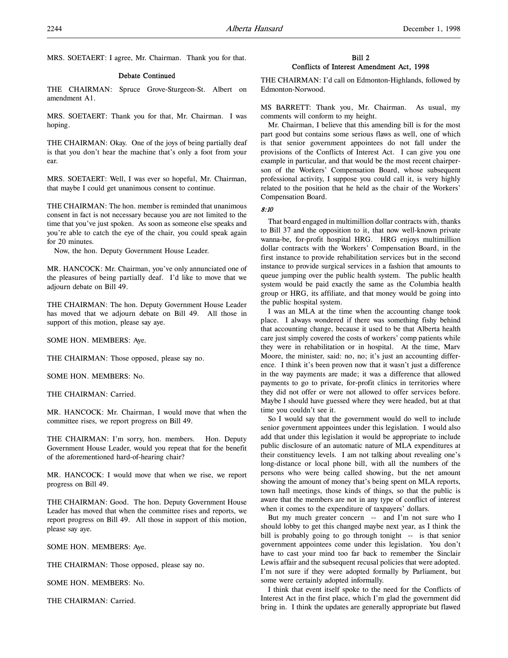MRS. SOETAERT: I agree, Mr. Chairman. Thank you for that.

### Debate Continued

THE CHAIRMAN: Spruce Grove-Sturgeon-St. Albert on amendment A1.

MRS. SOETAERT: Thank you for that, Mr. Chairman. I was hoping.

THE CHAIRMAN: Okay. One of the joys of being partially deaf is that you don't hear the machine that's only a foot from your ear.

MRS. SOETAERT: Well, I was ever so hopeful, Mr. Chairman, that maybe I could get unanimous consent to continue.

THE CHAIRMAN: The hon. member is reminded that unanimous consent in fact is not necessary because you are not limited to the time that you've just spoken. As soon as someone else speaks and you're able to catch the eye of the chair, you could speak again for 20 minutes.

Now, the hon. Deputy Government House Leader.

MR. HANCOCK: Mr. Chairman, you've only annunciated one of the pleasures of being partially deaf. I'd like to move that we adjourn debate on Bill 49.

THE CHAIRMAN: The hon. Deputy Government House Leader has moved that we adjourn debate on Bill 49. All those in support of this motion, please say aye.

SOME HON. MEMBERS: Aye.

THE CHAIRMAN: Those opposed, please say no.

SOME HON. MEMBERS: No.

THE CHAIRMAN: Carried.

MR. HANCOCK: Mr. Chairman, I would move that when the committee rises, we report progress on Bill 49.

THE CHAIRMAN: I'm sorry, hon. members. Hon. Deputy Government House Leader, would you repeat that for the benefit of the aforementioned hard-of-hearing chair?

MR. HANCOCK: I would move that when we rise, we report progress on Bill 49.

THE CHAIRMAN: Good. The hon. Deputy Government House Leader has moved that when the committee rises and reports, we report progress on Bill 49. All those in support of this motion, please say aye.

SOME HON. MEMBERS: Aye.

THE CHAIRMAN: Those opposed, please say no.

SOME HON. MEMBERS: No.

THE CHAIRMAN: Carried.

# Bill 2 Conflicts of Interest Amendment Act, 1998

THE CHAIRMAN: I'd call on Edmonton-Highlands, followed by Edmonton-Norwood.

MS BARRETT: Thank you, Mr. Chairman. As usual, my comments will conform to my height.

Mr. Chairman, I believe that this amending bill is for the most part good but contains some serious flaws as well, one of which is that senior government appointees do not fall under the provisions of the Conflicts of Interest Act. I can give you one example in particular, and that would be the most recent chairperson of the Workers' Compensation Board, whose subsequent professional activity, I suppose you could call it, is very highly related to the position that he held as the chair of the Workers' Compensation Board.

# 8:10

That board engaged in multimillion dollar contracts with, thanks to Bill 37 and the opposition to it, that now well-known private wanna-be, for-profit hospital HRG. HRG enjoys multimillion dollar contracts with the Workers' Compensation Board, in the first instance to provide rehabilitation services but in the second instance to provide surgical services in a fashion that amounts to queue jumping over the public health system. The public health system would be paid exactly the same as the Columbia health group or HRG, its affiliate, and that money would be going into the public hospital system.

I was an MLA at the time when the accounting change took place. I always wondered if there was something fishy behind that accounting change, because it used to be that Alberta health care just simply covered the costs of workers' comp patients while they were in rehabilitation or in hospital. At the time, Marv Moore, the minister, said: no, no; it's just an accounting difference. I think it's been proven now that it wasn't just a difference in the way payments are made; it was a difference that allowed payments to go to private, for-profit clinics in territories where they did not offer or were not allowed to offer services before. Maybe I should have guessed where they were headed, but at that time you couldn't see it.

So I would say that the government would do well to include senior government appointees under this legislation. I would also add that under this legislation it would be appropriate to include public disclosure of an automatic nature of MLA expenditures at their constituency levels. I am not talking about revealing one's long-distance or local phone bill, with all the numbers of the persons who were being called showing, but the net amount showing the amount of money that's being spent on MLA reports, town hall meetings, those kinds of things, so that the public is aware that the members are not in any type of conflict of interest when it comes to the expenditure of taxpayers' dollars.

But my much greater concern -- and I'm not sure who I should lobby to get this changed maybe next year, as I think the bill is probably going to go through tonight -- is that senior government appointees come under this legislation. You don't have to cast your mind too far back to remember the Sinclair Lewis affair and the subsequent recusal policies that were adopted. I'm not sure if they were adopted formally by Parliament, but some were certainly adopted informally.

I think that event itself spoke to the need for the Conflicts of Interest Act in the first place, which I'm glad the government did bring in. I think the updates are generally appropriate but flawed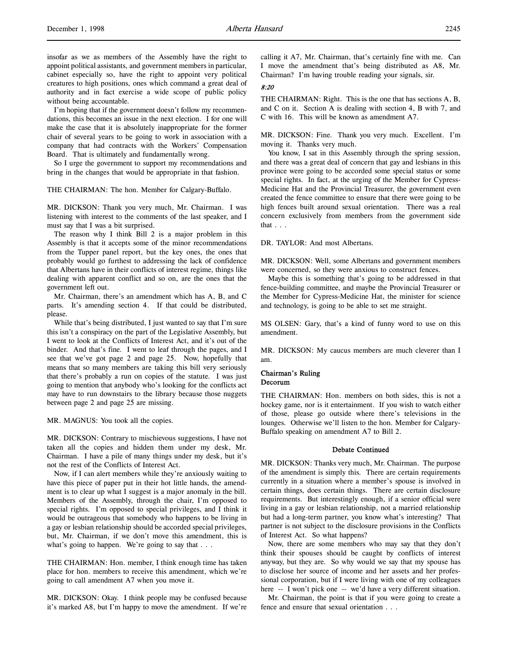insofar as we as members of the Assembly have the right to appoint political assistants, and government members in particular, cabinet especially so, have the right to appoint very political creatures to high positions, ones which command a great deal of authority and in fact exercise a wide scope of public policy without being accountable.

I'm hoping that if the government doesn't follow my recommendations, this becomes an issue in the next election. I for one will make the case that it is absolutely inappropriate for the former chair of several years to be going to work in association with a company that had contracts with the Workers' Compensation Board. That is ultimately and fundamentally wrong.

So I urge the government to support my recommendations and bring in the changes that would be appropriate in that fashion.

### THE CHAIRMAN: The hon. Member for Calgary-Buffalo.

MR. DICKSON: Thank you very much, Mr. Chairman. I was listening with interest to the comments of the last speaker, and I must say that I was a bit surprised.

The reason why I think Bill 2 is a major problem in this Assembly is that it accepts some of the minor recommendations from the Tupper panel report, but the key ones, the ones that probably would go furthest to addressing the lack of confidence that Albertans have in their conflicts of interest regime, things like dealing with apparent conflict and so on, are the ones that the government left out.

Mr. Chairman, there's an amendment which has A, B, and C parts. It's amending section 4. If that could be distributed, please.

While that's being distributed, I just wanted to say that I'm sure this isn't a conspiracy on the part of the Legislative Assembly, but I went to look at the Conflicts of Interest Act, and it's out of the binder. And that's fine. I went to leaf through the pages, and I see that we've got page 2 and page 25. Now, hopefully that means that so many members are taking this bill very seriously that there's probably a run on copies of the statute. I was just going to mention that anybody who's looking for the conflicts act may have to run downstairs to the library because those nuggets between page 2 and page 25 are missing.

MR. MAGNUS: You took all the copies.

MR. DICKSON: Contrary to mischievous suggestions, I have not taken all the copies and hidden them under my desk, Mr. Chairman. I have a pile of many things under my desk, but it's not the rest of the Conflicts of Interest Act.

Now, if I can alert members while they're anxiously waiting to have this piece of paper put in their hot little hands, the amendment is to clear up what I suggest is a major anomaly in the bill. Members of the Assembly, through the chair, I'm opposed to special rights. I'm opposed to special privileges, and I think it would be outrageous that somebody who happens to be living in a gay or lesbian relationship should be accorded special privileges, but, Mr. Chairman, if we don't move this amendment, this is what's going to happen. We're going to say that . . .

THE CHAIRMAN: Hon. member, I think enough time has taken place for hon. members to receive this amendment, which we're going to call amendment A7 when you move it.

MR. DICKSON: Okay. I think people may be confused because it's marked A8, but I'm happy to move the amendment. If we're

calling it A7, Mr. Chairman, that's certainly fine with me. Can I move the amendment that's being distributed as A8, Mr. Chairman? I'm having trouble reading your signals, sir.

### 8:20

THE CHAIRMAN: Right. This is the one that has sections A, B, and C on it. Section A is dealing with section 4, B with 7, and C with 16. This will be known as amendment A7.

MR. DICKSON: Fine. Thank you very much. Excellent. I'm moving it. Thanks very much.

You know, I sat in this Assembly through the spring session, and there was a great deal of concern that gay and lesbians in this province were going to be accorded some special status or some special rights. In fact, at the urging of the Member for Cypress-Medicine Hat and the Provincial Treasurer, the government even created the fence committee to ensure that there were going to be high fences built around sexual orientation. There was a real concern exclusively from members from the government side that . . .

DR. TAYLOR: And most Albertans.

MR. DICKSON: Well, some Albertans and government members were concerned, so they were anxious to construct fences.

Maybe this is something that's going to be addressed in that fence-building committee, and maybe the Provincial Treasurer or the Member for Cypress-Medicine Hat, the minister for science and technology, is going to be able to set me straight.

MS OLSEN: Gary, that's a kind of funny word to use on this amendment.

MR. DICKSON: My caucus members are much cleverer than I am.

### Chairman's Ruling Decorum

THE CHAIRMAN: Hon. members on both sides, this is not a hockey game, nor is it entertainment. If you wish to watch either of those, please go outside where there's televisions in the lounges. Otherwise we'll listen to the hon. Member for Calgary-Buffalo speaking on amendment A7 to Bill 2.

### Debate Continued

MR. DICKSON: Thanks very much, Mr. Chairman. The purpose of the amendment is simply this. There are certain requirements currently in a situation where a member's spouse is involved in certain things, does certain things. There are certain disclosure requirements. But interestingly enough, if a senior official were living in a gay or lesbian relationship, not a married relationship but had a long-term partner, you know what's interesting? That partner is not subject to the disclosure provisions in the Conflicts of Interest Act. So what happens?

Now, there are some members who may say that they don't think their spouses should be caught by conflicts of interest anyway, but they are. So why would we say that my spouse has to disclose her source of income and her assets and her professional corporation, but if I were living with one of my colleagues here -- I won't pick one -- we'd have a very different situation.

Mr. Chairman, the point is that if you were going to create a fence and ensure that sexual orientation . . .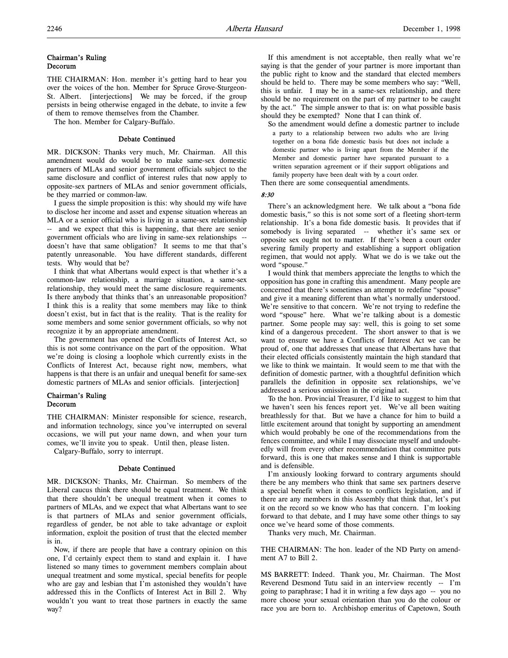## Chairman's Ruling Decorum

THE CHAIRMAN: Hon. member it's getting hard to hear you over the voices of the hon. Member for Spruce Grove-Sturgeon-St. Albert. [interjections] We may be forced, if the group persists in being otherwise engaged in the debate, to invite a few of them to remove themselves from the Chamber.

The hon. Member for Calgary-Buffalo.

### Debate Continued

MR. DICKSON: Thanks very much, Mr. Chairman. All this amendment would do would be to make same-sex domestic partners of MLAs and senior government officials subject to the same disclosure and conflict of interest rules that now apply to opposite-sex partners of MLAs and senior government officials, be they married or common-law.

I guess the simple proposition is this: why should my wife have to disclose her income and asset and expense situation whereas an MLA or a senior official who is living in a same-sex relationship -- and we expect that this is happening, that there are senior government officials who are living in same-sex relationships - doesn't have that same obligation? It seems to me that that's patently unreasonable. You have different standards, different tests. Why would that be?

I think that what Albertans would expect is that whether it's a common-law relationship, a marriage situation, a same-sex relationship, they would meet the same disclosure requirements. Is there anybody that thinks that's an unreasonable proposition? I think this is a reality that some members may like to think doesn't exist, but in fact that is the reality. That is the reality for some members and some senior government officials, so why not recognize it by an appropriate amendment.

The government has opened the Conflicts of Interest Act, so this is not some contrivance on the part of the opposition. What we're doing is closing a loophole which currently exists in the Conflicts of Interest Act, because right now, members, what happens is that there is an unfair and unequal benefit for same-sex domestic partners of MLAs and senior officials. [interjection]

# Chairman's Ruling Decorum

THE CHAIRMAN: Minister responsible for science, research, and information technology, since you've interrupted on several occasions, we will put your name down, and when your turn comes, we'll invite you to speak. Until then, please listen.

Calgary-Buffalo, sorry to interrupt.

#### Debate Continued

MR. DICKSON: Thanks, Mr. Chairman. So members of the Liberal caucus think there should be equal treatment. We think that there shouldn't be unequal treatment when it comes to partners of MLAs, and we expect that what Albertans want to see is that partners of MLAs and senior government officials, regardless of gender, be not able to take advantage or exploit information, exploit the position of trust that the elected member is in.

Now, if there are people that have a contrary opinion on this one, I'd certainly expect them to stand and explain it. I have listened so many times to government members complain about unequal treatment and some mystical, special benefits for people who are gay and lesbian that I'm astonished they wouldn't have addressed this in the Conflicts of Interest Act in Bill 2. Why wouldn't you want to treat those partners in exactly the same way?

If this amendment is not acceptable, then really what we're saying is that the gender of your partner is more important than the public right to know and the standard that elected members should be held to. There may be some members who say: "Well, this is unfair. I may be in a same-sex relationship, and there should be no requirement on the part of my partner to be caught by the act." The simple answer to that is: on what possible basis should they be exempted? None that I can think of.

So the amendment would define a domestic partner to include a party to a relationship between two adults who are living together on a bona fide domestic basis but does not include a domestic partner who is living apart from the Member if the Member and domestic partner have separated pursuant to a written separation agreement or if their support obligations and family property have been dealt with by a court order. Then there are some consequential amendments.

8:30

There's an acknowledgment here. We talk about a "bona fide domestic basis," so this is not some sort of a fleeting short-term relationship. It's a bona fide domestic basis. It provides that if somebody is living separated -- whether it's same sex or opposite sex ought not to matter. If there's been a court order severing family property and establishing a support obligation regimen, that would not apply. What we do is we take out the word "spouse."

I would think that members appreciate the lengths to which the opposition has gone in crafting this amendment. Many people are concerned that there's sometimes an attempt to redefine "spouse" and give it a meaning different than what's normally understood. We're sensitive to that concern. We're not trying to redefine the word "spouse" here. What we're talking about is a domestic partner. Some people may say: well, this is going to set some kind of a dangerous precedent. The short answer to that is we want to ensure we have a Conflicts of Interest Act we can be proud of, one that addresses that unease that Albertans have that their elected officials consistently maintain the high standard that we like to think we maintain. It would seem to me that with the definition of domestic partner, with a thoughtful definition which parallels the definition in opposite sex relationships, we've addressed a serious omission in the original act.

To the hon. Provincial Treasurer, I'd like to suggest to him that we haven't seen his fences report yet. We've all been waiting breathlessly for that. But we have a chance for him to build a little excitement around that tonight by supporting an amendment which would probably be one of the recommendations from the fences committee, and while I may dissociate myself and undoubtedly will from every other recommendation that committee puts forward, this is one that makes sense and I think is supportable and is defensible.

I'm anxiously looking forward to contrary arguments should there be any members who think that same sex partners deserve a special benefit when it comes to conflicts legislation, and if there are any members in this Assembly that think that, let's put it on the record so we know who has that concern. I'm looking forward to that debate, and I may have some other things to say once we've heard some of those comments.

Thanks very much, Mr. Chairman.

THE CHAIRMAN: The hon. leader of the ND Party on amendment A7 to Bill 2.

MS BARRETT: Indeed. Thank you, Mr. Chairman. The Most Reverend Desmond Tutu said in an interview recently -- I'm going to paraphrase; I had it in writing a few days ago -- you no more choose your sexual orientation than you do the colour or race you are born to. Archbishop emeritus of Capetown, South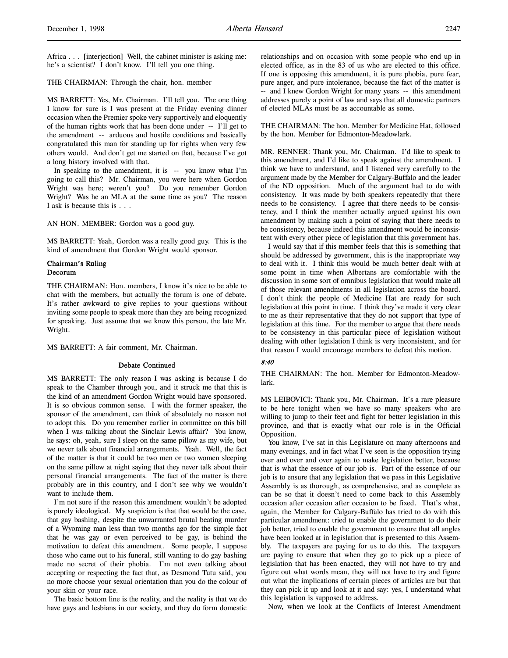### THE CHAIRMAN: Through the chair, hon. member

MS BARRETT: Yes, Mr. Chairman. I'll tell you. The one thing I know for sure is I was present at the Friday evening dinner occasion when the Premier spoke very supportively and eloquently of the human rights work that has been done under -- I'll get to the amendment -- arduous and hostile conditions and basically congratulated this man for standing up for rights when very few others would. And don't get me started on that, because I've got a long history involved with that.

In speaking to the amendment, it is -- you know what I'm going to call this? Mr. Chairman, you were here when Gordon Wright was here; weren't you? Do you remember Gordon Wright? Was he an MLA at the same time as you? The reason I ask is because this is . . .

AN HON. MEMBER: Gordon was a good guy.

MS BARRETT: Yeah, Gordon was a really good guy. This is the kind of amendment that Gordon Wright would sponsor.

# Chairman's Ruling Decorum

THE CHAIRMAN: Hon. members, I know it's nice to be able to chat with the members, but actually the forum is one of debate. It's rather awkward to give replies to your questions without inviting some people to speak more than they are being recognized for speaking. Just assume that we know this person, the late Mr. Wright.

MS BARRETT: A fair comment, Mr. Chairman.

### Debate Continued

MS BARRETT: The only reason I was asking is because I do speak to the Chamber through you, and it struck me that this is the kind of an amendment Gordon Wright would have sponsored. It is so obvious common sense. I with the former speaker, the sponsor of the amendment, can think of absolutely no reason not to adopt this. Do you remember earlier in committee on this bill when I was talking about the Sinclair Lewis affair? You know, he says: oh, yeah, sure I sleep on the same pillow as my wife, but we never talk about financial arrangements. Yeah. Well, the fact of the matter is that it could be two men or two women sleeping on the same pillow at night saying that they never talk about their personal financial arrangements. The fact of the matter is there probably are in this country, and I don't see why we wouldn't want to include them.

I'm not sure if the reason this amendment wouldn't be adopted is purely ideological. My suspicion is that that would be the case, that gay bashing, despite the unwarranted brutal beating murder of a Wyoming man less than two months ago for the simple fact that he was gay or even perceived to be gay, is behind the motivation to defeat this amendment. Some people, I suppose those who came out to his funeral, still wanting to do gay bashing made no secret of their phobia. I'm not even talking about accepting or respecting the fact that, as Desmond Tutu said, you no more choose your sexual orientation than you do the colour of your skin or your race.

The basic bottom line is the reality, and the reality is that we do have gays and lesbians in our society, and they do form domestic relationships and on occasion with some people who end up in elected office, as in the 83 of us who are elected to this office. If one is opposing this amendment, it is pure phobia, pure fear, pure anger, and pure intolerance, because the fact of the matter is -- and I knew Gordon Wright for many years -- this amendment addresses purely a point of law and says that all domestic partners of elected MLAs must be as accountable as some.

THE CHAIRMAN: The hon. Member for Medicine Hat, followed by the hon. Member for Edmonton-Meadowlark.

MR. RENNER: Thank you, Mr. Chairman. I'd like to speak to this amendment, and I'd like to speak against the amendment. I think we have to understand, and I listened very carefully to the argument made by the Member for Calgary-Buffalo and the leader of the ND opposition. Much of the argument had to do with consistency. It was made by both speakers repeatedly that there needs to be consistency. I agree that there needs to be consistency, and I think the member actually argued against his own amendment by making such a point of saying that there needs to be consistency, because indeed this amendment would be inconsistent with every other piece of legislation that this government has.

I would say that if this member feels that this is something that should be addressed by government, this is the inappropriate way to deal with it. I think this would be much better dealt with at some point in time when Albertans are comfortable with the discussion in some sort of omnibus legislation that would make all of those relevant amendments in all legislation across the board. I don't think the people of Medicine Hat are ready for such legislation at this point in time. I think they've made it very clear to me as their representative that they do not support that type of legislation at this time. For the member to argue that there needs to be consistency in this particular piece of legislation without dealing with other legislation I think is very inconsistent, and for that reason I would encourage members to defeat this motion.

# 8:40

THE CHAIRMAN: The hon. Member for Edmonton-Meadowlark.

MS LEIBOVICI: Thank you, Mr. Chairman. It's a rare pleasure to be here tonight when we have so many speakers who are willing to jump to their feet and fight for better legislation in this province, and that is exactly what our role is in the Official Opposition.

You know, I've sat in this Legislature on many afternoons and many evenings, and in fact what I've seen is the opposition trying over and over and over again to make legislation better, because that is what the essence of our job is. Part of the essence of our job is to ensure that any legislation that we pass in this Legislative Assembly is as thorough, as comprehensive, and as complete as can be so that it doesn't need to come back to this Assembly occasion after occasion after occasion to be fixed. That's what, again, the Member for Calgary-Buffalo has tried to do with this particular amendment: tried to enable the government to do their job better, tried to enable the government to ensure that all angles have been looked at in legislation that is presented to this Assembly. The taxpayers are paying for us to do this. The taxpayers are paying to ensure that when they go to pick up a piece of legislation that has been enacted, they will not have to try and figure out what words mean, they will not have to try and figure out what the implications of certain pieces of articles are but that they can pick it up and look at it and say: yes, I understand what this legislation is supposed to address.

Now, when we look at the Conflicts of Interest Amendment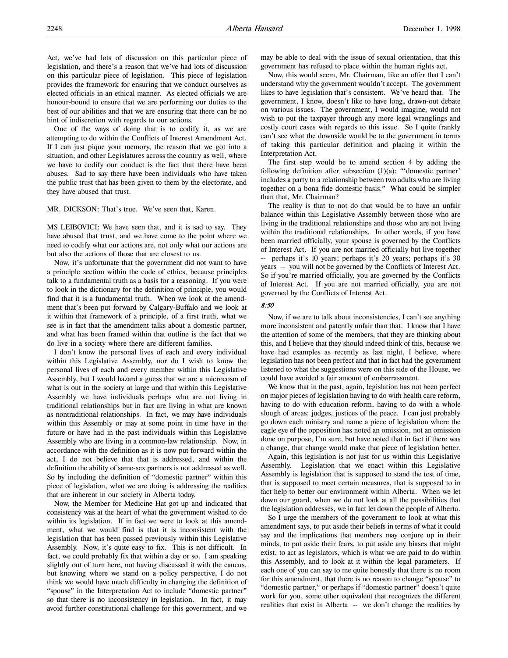Act, we've had lots of discussion on this particular piece of legislation, and there's a reason that we've had lots of discussion on this particular piece of legislation. This piece of legislation provides the framework for ensuring that we conduct ourselves as elected officials in an ethical manner. As elected officials we are honour-bound to ensure that we are performing our duties to the best of our abilities and that we are ensuring that there can be no hint of indiscretion with regards to our actions.

One of the ways of doing that is to codify it, as we are attempting to do within the Conflicts of Interest Amendment Act. If I can just pique your memory, the reason that we got into a situation, and other Legislatures across the country as well, where we have to codify our conduct is the fact that there have been abuses. Sad to say there have been individuals who have taken the public trust that has been given to them by the electorate, and they have abused that trust.

MR. DICKSON: That's true. We've seen that, Karen.

MS LEIBOVICI: We have seen that, and it is sad to say. They have abused that trust, and we have come to the point where we need to codify what our actions are, not only what our actions are but also the actions of those that are closest to us.

Now, it's unfortunate that the government did not want to have a principle section within the code of ethics, because principles talk to a fundamental truth as a basis for a reasoning. If you were to look in the dictionary for the definition of principle, you would find that it is a fundamental truth. When we look at the amendment that's been put forward by Calgary-Buffalo and we look at it within that framework of a principle, of a first truth, what we see is in fact that the amendment talks about a domestic partner, and what has been framed within that outline is the fact that we do live in a society where there are different families.

I don't know the personal lives of each and every individual within this Legislative Assembly, nor do I wish to know the personal lives of each and every member within this Legislative Assembly, but I would hazard a guess that we are a microcosm of what is out in the society at large and that within this Legislative Assembly we have individuals perhaps who are not living in traditional relationships but in fact are living in what are known as nontraditional relationships. In fact, we may have individuals within this Assembly or may at some point in time have in the future or have had in the past individuals within this Legislative Assembly who are living in a common-law relationship. Now, in accordance with the definition as it is now put forward within the act, I do not believe that that is addressed, and within the definition the ability of same-sex partners is not addressed as well. So by including the definition of "domestic partner" within this piece of legislation, what we are doing is addressing the realities that are inherent in our society in Alberta today.

Now, the Member for Medicine Hat got up and indicated that consistency was at the heart of what the government wished to do within its legislation. If in fact we were to look at this amendment, what we would find is that it is inconsistent with the legislation that has been passed previously within this Legislative Assembly. Now, it's quite easy to fix. This is not difficult. In fact, we could probably fix that within a day or so. I am speaking slightly out of turn here, not having discussed it with the caucus, but knowing where we stand on a policy perspective, I do not think we would have much difficulty in changing the definition of "spouse" in the Interpretation Act to include "domestic partner" so that there is no inconsistency in legislation. In fact, it may avoid further constitutional challenge for this government, and we

may be able to deal with the issue of sexual orientation, that this government has refused to place within the human rights act.

Now, this would seem, Mr. Chairman, like an offer that I can't understand why the government wouldn't accept. The government likes to have legislation that's consistent. We've heard that. The government, I know, doesn't like to have long, drawn-out debate on various issues. The government, I would imagine, would not wish to put the taxpayer through any more legal wranglings and costly court cases with regards to this issue. So I quite frankly can't see what the downside would be to the government in terms of taking this particular definition and placing it within the Interpretation Act.

The first step would be to amend section 4 by adding the following definition after subsection  $(1)(a)$ : "'domestic partner' includes a party to a relationship between two adults who are living together on a bona fide domestic basis." What could be simpler than that, Mr. Chairman?

The reality is that to not do that would be to have an unfair balance within this Legislative Assembly between those who are living in the traditional relationships and those who are not living within the traditional relationships. In other words, if you have been married officially, your spouse is governed by the Conflicts of Interest Act. If you are not married officially but live together perhaps it's 10 years; perhaps it's 20 years; perhaps it's 30 years -- you will not be governed by the Conflicts of Interest Act. So if you're married officially, you are governed by the Conflicts of Interest Act. If you are not married officially, you are not governed by the Conflicts of Interest Act.

### 8:50

Now, if we are to talk about inconsistencies, I can't see anything more inconsistent and patently unfair than that. I know that I have the attention of some of the members, that they are thinking about this, and I believe that they should indeed think of this, because we have had examples as recently as last night, I believe, where legislation has not been perfect and that in fact had the government listened to what the suggestions were on this side of the House, we could have avoided a fair amount of embarrassment.

We know that in the past, again, legislation has not been perfect on major pieces of legislation having to do with health care reform, having to do with education reform, having to do with a whole slough of areas: judges, justices of the peace. I can just probably go down each ministry and name a piece of legislation where the eagle eye of the opposition has noted an omission, not an omission done on purpose, I'm sure, but have noted that in fact if there was a change, that change would make that piece of legislation better.

Again, this legislation is not just for us within this Legislative Assembly. Legislation that we enact within this Legislative Assembly is legislation that is supposed to stand the test of time, that is supposed to meet certain measures, that is supposed to in fact help to better our environment within Alberta. When we let down our guard, when we do not look at all the possibilities that the legislation addresses, we in fact let down the people of Alberta.

So I urge the members of the government to look at what this amendment says, to put aside their beliefs in terms of what it could say and the implications that members may conjure up in their minds, to put aside their fears, to put aside any biases that might exist, to act as legislators, which is what we are paid to do within this Assembly, and to look at it within the legal parameters. If each one of you can say to me quite honestly that there is no room for this amendment, that there is no reason to change "spouse" to "domestic partner," or perhaps if "domestic partner" doesn't quite work for you, some other equivalent that recognizes the different realities that exist in Alberta -- we don't change the realities by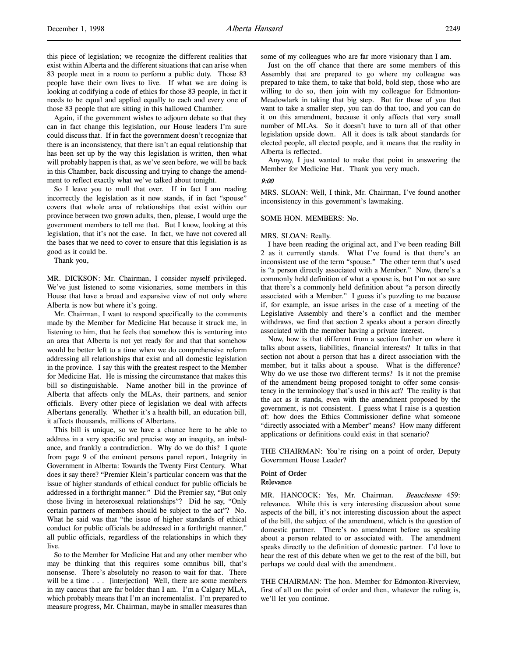Again, if the government wishes to adjourn debate so that they can in fact change this legislation, our House leaders I'm sure could discuss that. If in fact the government doesn't recognize that there is an inconsistency, that there isn't an equal relationship that has been set up by the way this legislation is written, then what will probably happen is that, as we've seen before, we will be back in this Chamber, back discussing and trying to change the amendment to reflect exactly what we've talked about tonight.

So I leave you to mull that over. If in fact I am reading incorrectly the legislation as it now stands, if in fact "spouse" covers that whole area of relationships that exist within our province between two grown adults, then, please, I would urge the government members to tell me that. But I know, looking at this legislation, that it's not the case. In fact, we have not covered all the bases that we need to cover to ensure that this legislation is as good as it could be.

Thank you,

MR. DICKSON: Mr. Chairman, I consider myself privileged. We've just listened to some visionaries, some members in this House that have a broad and expansive view of not only where Alberta is now but where it's going.

Mr. Chairman, I want to respond specifically to the comments made by the Member for Medicine Hat because it struck me, in listening to him, that he feels that somehow this is venturing into an area that Alberta is not yet ready for and that that somehow would be better left to a time when we do comprehensive reform addressing all relationships that exist and all domestic legislation in the province. I say this with the greatest respect to the Member for Medicine Hat. He is missing the circumstance that makes this bill so distinguishable. Name another bill in the province of Alberta that affects only the MLAs, their partners, and senior officials. Every other piece of legislation we deal with affects Albertans generally. Whether it's a health bill, an education bill, it affects thousands, millions of Albertans.

This bill is unique, so we have a chance here to be able to address in a very specific and precise way an inequity, an imbalance, and frankly a contradiction. Why do we do this? I quote from page 9 of the eminent persons panel report, Integrity in Government in Alberta: Towards the Twenty First Century. What does it say there? "Premier Klein's particular concern was that the issue of higher standards of ethical conduct for public officials be addressed in a forthright manner." Did the Premier say, "But only those living in heterosexual relationships"? Did he say, "Only certain partners of members should be subject to the act"? No. What he said was that "the issue of higher standards of ethical conduct for public officials be addressed in a forthright manner," all public officials, regardless of the relationships in which they live.

So to the Member for Medicine Hat and any other member who may be thinking that this requires some omnibus bill, that's nonsense. There's absolutely no reason to wait for that. There will be a time . . . [interjection] Well, there are some members in my caucus that are far bolder than I am. I'm a Calgary MLA, which probably means that I'm an incrementalist. I'm prepared to measure progress, Mr. Chairman, maybe in smaller measures than

some of my colleagues who are far more visionary than I am.

Just on the off chance that there are some members of this Assembly that are prepared to go where my colleague was prepared to take them, to take that bold, bold step, those who are willing to do so, then join with my colleague for Edmonton-Meadowlark in taking that big step. But for those of you that want to take a smaller step, you can do that too, and you can do it on this amendment, because it only affects that very small number of MLAs. So it doesn't have to turn all of that other legislation upside down. All it does is talk about standards for elected people, all elected people, and it means that the reality in Alberta is reflected.

Anyway, I just wanted to make that point in answering the Member for Medicine Hat. Thank you very much.

#### 9:00

MRS. SLOAN: Well, I think, Mr. Chairman, I've found another inconsistency in this government's lawmaking.

#### SOME HON. MEMBERS: No.

#### MRS. SLOAN: Really.

I have been reading the original act, and I've been reading Bill 2 as it currently stands. What I've found is that there's an inconsistent use of the term "spouse." The other term that's used is "a person directly associated with a Member." Now, there's a commonly held definition of what a spouse is, but I'm not so sure that there's a commonly held definition about "a person directly associated with a Member." I guess it's puzzling to me because if, for example, an issue arises in the case of a meeting of the Legislative Assembly and there's a conflict and the member withdraws, we find that section 2 speaks about a person directly associated with the member having a private interest.

Now, how is that different from a section further on where it talks about assets, liabilities, financial interests? It talks in that section not about a person that has a direct association with the member, but it talks about a spouse. What is the difference? Why do we use those two different terms? Is it not the premise of the amendment being proposed tonight to offer some consistency in the terminology that's used in this act? The reality is that the act as it stands, even with the amendment proposed by the government, is not consistent. I guess what I raise is a question of: how does the Ethics Commissioner define what someone "directly associated with a Member" means? How many different applications or definitions could exist in that scenario?

THE CHAIRMAN: You're rising on a point of order, Deputy Government House Leader?

#### Point of Order Relevance

MR. HANCOCK: Yes, Mr. Chairman. Beauchesne 459: relevance. While this is very interesting discussion about some aspects of the bill, it's not interesting discussion about the aspect of the bill, the subject of the amendment, which is the question of domestic partner. There's no amendment before us speaking about a person related to or associated with. The amendment speaks directly to the definition of domestic partner. I'd love to hear the rest of this debate when we get to the rest of the bill, but perhaps we could deal with the amendment.

THE CHAIRMAN: The hon. Member for Edmonton-Riverview, first of all on the point of order and then, whatever the ruling is, we'll let you continue.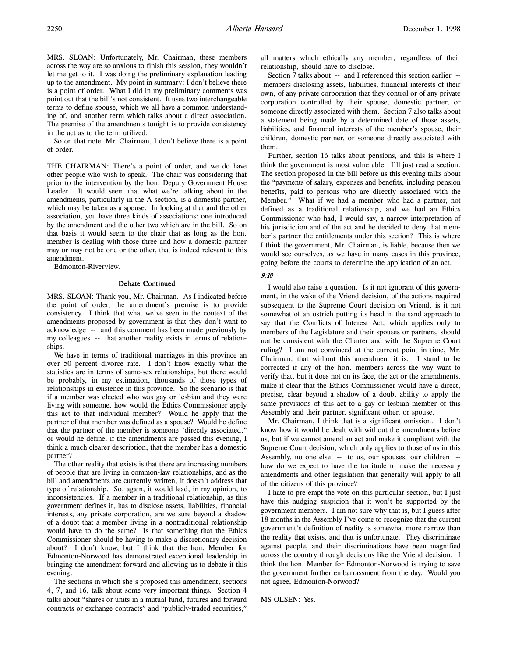MRS. SLOAN: Unfortunately, Mr. Chairman, these members across the way are so anxious to finish this session, they wouldn't let me get to it. I was doing the preliminary explanation leading up to the amendment. My point in summary: I don't believe there is a point of order. What I did in my preliminary comments was point out that the bill's not consistent. It uses two interchangeable terms to define spouse, which we all have a common understanding of, and another term which talks about a direct association. The premise of the amendments tonight is to provide consistency in the act as to the term utilized.

So on that note, Mr. Chairman, I don't believe there is a point of order.

THE CHAIRMAN: There's a point of order, and we do have other people who wish to speak. The chair was considering that prior to the intervention by the hon. Deputy Government House Leader. It would seem that what we're talking about in the amendments, particularly in the A section, is a domestic partner, which may be taken as a spouse. In looking at that and the other association, you have three kinds of associations: one introduced by the amendment and the other two which are in the bill. So on that basis it would seem to the chair that as long as the hon. member is dealing with those three and how a domestic partner may or may not be one or the other, that is indeed relevant to this amendment.

Edmonton-Riverview.

### Debate Continued

MRS. SLOAN: Thank you, Mr. Chairman. As I indicated before the point of order, the amendment's premise is to provide consistency. I think that what we've seen in the context of the amendments proposed by government is that they don't want to acknowledge -- and this comment has been made previously by my colleagues -- that another reality exists in terms of relationships.

We have in terms of traditional marriages in this province an over 50 percent divorce rate. I don't know exactly what the statistics are in terms of same-sex relationships, but there would be probably, in my estimation, thousands of those types of relationships in existence in this province. So the scenario is that if a member was elected who was gay or lesbian and they were living with someone, how would the Ethics Commissioner apply this act to that individual member? Would he apply that the partner of that member was defined as a spouse? Would he define that the partner of the member is someone "directly associated," or would he define, if the amendments are passed this evening, I think a much clearer description, that the member has a domestic partner?

The other reality that exists is that there are increasing numbers of people that are living in common-law relationships, and as the bill and amendments are currently written, it doesn't address that type of relationship. So, again, it would lead, in my opinion, to inconsistencies. If a member in a traditional relationship, as this government defines it, has to disclose assets, liabilities, financial interests, any private corporation, are we sure beyond a shadow of a doubt that a member living in a nontraditional relationship would have to do the same? Is that something that the Ethics Commissioner should be having to make a discretionary decision about? I don't know, but I think that the hon. Member for Edmonton-Norwood has demonstrated exceptional leadership in bringing the amendment forward and allowing us to debate it this evening.

The sections in which she's proposed this amendment, sections 4, 7, and 16, talk about some very important things. Section 4 talks about "shares or units in a mutual fund, futures and forward contracts or exchange contracts" and "publicly-traded securities,"

all matters which ethically any member, regardless of their relationship, should have to disclose.

Section 7 talks about -- and I referenced this section earlier - members disclosing assets, liabilities, financial interests of their own, of any private corporation that they control or of any private corporation controlled by their spouse, domestic partner, or someone directly associated with them. Section 7 also talks about a statement being made by a determined date of those assets, liabilities, and financial interests of the member's spouse, their children, domestic partner, or someone directly associated with them.

Further, section 16 talks about pensions, and this is where I think the government is most vulnerable. I'll just read a section. The section proposed in the bill before us this evening talks about the "payments of salary, expenses and benefits, including pension benefits, paid to persons who are directly associated with the Member." What if we had a member who had a partner, not defined as a traditional relationship, and we had an Ethics Commissioner who had, I would say, a narrow interpretation of his jurisdiction and of the act and he decided to deny that member's partner the entitlements under this section? This is where I think the government, Mr. Chairman, is liable, because then we would see ourselves, as we have in many cases in this province, going before the courts to determine the application of an act.

## 9:10

I would also raise a question. Is it not ignorant of this government, in the wake of the Vriend decision, of the actions required subsequent to the Supreme Court decision on Vriend, is it not somewhat of an ostrich putting its head in the sand approach to say that the Conflicts of Interest Act, which applies only to members of the Legislature and their spouses or partners, should not be consistent with the Charter and with the Supreme Court ruling? I am not convinced at the current point in time, Mr. Chairman, that without this amendment it is. I stand to be corrected if any of the hon. members across the way want to verify that, but it does not on its face, the act or the amendments, make it clear that the Ethics Commissioner would have a direct, precise, clear beyond a shadow of a doubt ability to apply the same provisions of this act to a gay or lesbian member of this Assembly and their partner, significant other, or spouse.

Mr. Chairman, I think that is a significant omission. I don't know how it would be dealt with without the amendments before us, but if we cannot amend an act and make it compliant with the Supreme Court decision, which only applies to those of us in this Assembly, no one else -- to us, our spouses, our children - how do we expect to have the fortitude to make the necessary amendments and other legislation that generally will apply to all of the citizens of this province?

I hate to pre-empt the vote on this particular section, but I just have this nudging suspicion that it won't be supported by the government members. I am not sure why that is, but I guess after 18 months in the Assembly I've come to recognize that the current government's definition of reality is somewhat more narrow than the reality that exists, and that is unfortunate. They discriminate against people, and their discriminations have been magnified across the country through decisions like the Vriend decision. I think the hon. Member for Edmonton-Norwood is trying to save the government further embarrassment from the day. Would you not agree, Edmonton-Norwood?

MS OLSEN: Yes.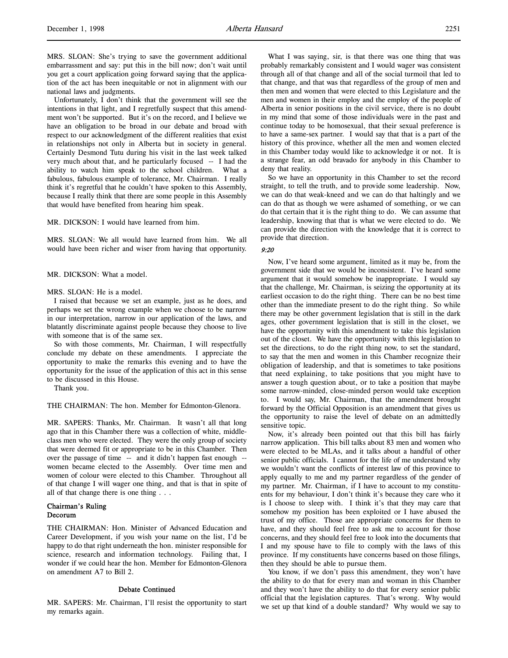MRS. SLOAN: She's trying to save the government additional embarrassment and say: put this in the bill now; don't wait until you get a court application going forward saying that the application of the act has been inequitable or not in alignment with our national laws and judgments.

Unfortunately, I don't think that the government will see the intentions in that light, and I regretfully suspect that this amendment won't be supported. But it's on the record, and I believe we have an obligation to be broad in our debate and broad with respect to our acknowledgment of the different realities that exist in relationships not only in Alberta but in society in general. Certainly Desmond Tutu during his visit in the last week talked very much about that, and he particularly focused -- I had the ability to watch him speak to the school children. What a fabulous, fabulous example of tolerance, Mr. Chairman. I really think it's regretful that he couldn't have spoken to this Assembly, because I really think that there are some people in this Assembly that would have benefited from hearing him speak.

MR. DICKSON: I would have learned from him.

MRS. SLOAN: We all would have learned from him. We all would have been richer and wiser from having that opportunity.

MR. DICKSON: What a model.

### MRS. SLOAN: He is a model.

I raised that because we set an example, just as he does, and perhaps we set the wrong example when we choose to be narrow in our interpretation, narrow in our application of the laws, and blatantly discriminate against people because they choose to live with someone that is of the same sex.

So with those comments, Mr. Chairman, I will respectfully conclude my debate on these amendments. I appreciate the opportunity to make the remarks this evening and to have the opportunity for the issue of the application of this act in this sense to be discussed in this House.

Thank you.

THE CHAIRMAN: The hon. Member for Edmonton-Glenora.

MR. SAPERS: Thanks, Mr. Chairman. It wasn't all that long ago that in this Chamber there was a collection of white, middleclass men who were elected. They were the only group of society that were deemed fit or appropriate to be in this Chamber. Then over the passage of time -- and it didn't happen fast enough - women became elected to the Assembly. Over time men and women of colour were elected to this Chamber. Throughout all of that change I will wager one thing, and that is that in spite of all of that change there is one thing . . .

# Chairman's Ruling Decorum

THE CHAIRMAN: Hon. Minister of Advanced Education and Career Development, if you wish your name on the list, I'd be happy to do that right underneath the hon. minister responsible for science, research and information technology. Failing that, I wonder if we could hear the hon. Member for Edmonton-Glenora on amendment A7 to Bill 2.

#### Debate Continued

MR. SAPERS: Mr. Chairman, I'll resist the opportunity to start my remarks again.

What I was saying, sir, is that there was one thing that was probably remarkably consistent and I would wager was consistent through all of that change and all of the social turmoil that led to that change, and that was that regardless of the group of men and then men and women that were elected to this Legislature and the men and women in their employ and the employ of the people of Alberta in senior positions in the civil service, there is no doubt in my mind that some of those individuals were in the past and continue today to be homosexual, that their sexual preference is to have a same-sex partner. I would say that that is a part of the history of this province, whether all the men and women elected in this Chamber today would like to acknowledge it or not. It is a strange fear, an odd bravado for anybody in this Chamber to deny that reality.

So we have an opportunity in this Chamber to set the record straight, to tell the truth, and to provide some leadership. Now, we can do that weak-kneed and we can do that haltingly and we can do that as though we were ashamed of something, or we can do that certain that it is the right thing to do. We can assume that leadership, knowing that that is what we were elected to do. We can provide the direction with the knowledge that it is correct to provide that direction.

### 9:20

Now, I've heard some argument, limited as it may be, from the government side that we would be inconsistent. I've heard some argument that it would somehow be inappropriate. I would say that the challenge, Mr. Chairman, is seizing the opportunity at its earliest occasion to do the right thing. There can be no best time other than the immediate present to do the right thing. So while there may be other government legislation that is still in the dark ages, other government legislation that is still in the closet, we have the opportunity with this amendment to take this legislation out of the closet. We have the opportunity with this legislation to set the directions, to do the right thing now, to set the standard, to say that the men and women in this Chamber recognize their obligation of leadership, and that is sometimes to take positions that need explaining, to take positions that you might have to answer a tough question about, or to take a position that maybe some narrow-minded, close-minded person would take exception to. I would say, Mr. Chairman, that the amendment brought forward by the Official Opposition is an amendment that gives us the opportunity to raise the level of debate on an admittedly sensitive topic.

Now, it's already been pointed out that this bill has fairly narrow application. This bill talks about 83 men and women who were elected to be MLAs, and it talks about a handful of other senior public officials. I cannot for the life of me understand why we wouldn't want the conflicts of interest law of this province to apply equally to me and my partner regardless of the gender of my partner. Mr. Chairman, if I have to account to my constituents for my behaviour, I don't think it's because they care who it is I choose to sleep with. I think it's that they may care that somehow my position has been exploited or I have abused the trust of my office. Those are appropriate concerns for them to have, and they should feel free to ask me to account for those concerns, and they should feel free to look into the documents that I and my spouse have to file to comply with the laws of this province. If my constituents have concerns based on those filings, then they should be able to pursue them.

You know, if we don't pass this amendment, they won't have the ability to do that for every man and woman in this Chamber and they won't have the ability to do that for every senior public official that the legislation captures. That's wrong. Why would we set up that kind of a double standard? Why would we say to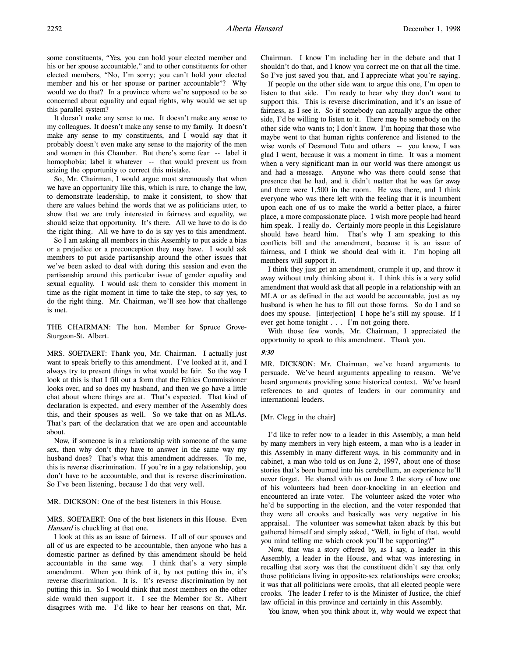some constituents, "Yes, you can hold your elected member and his or her spouse accountable," and to other constituents for other elected members, "No, I'm sorry; you can't hold your elected member and his or her spouse or partner accountable"? Why would we do that? In a province where we're supposed to be so concerned about equality and equal rights, why would we set up this parallel system?

It doesn't make any sense to me. It doesn't make any sense to my colleagues. It doesn't make any sense to my family. It doesn't make any sense to my constituents, and I would say that it probably doesn't even make any sense to the majority of the men and women in this Chamber. But there's some fear -- label it homophobia; label it whatever -- that would prevent us from seizing the opportunity to correct this mistake.

So, Mr. Chairman, I would argue most strenuously that when we have an opportunity like this, which is rare, to change the law, to demonstrate leadership, to make it consistent, to show that there are values behind the words that we as politicians utter, to show that we are truly interested in fairness and equality, we should seize that opportunity. It's there. All we have to do is do the right thing. All we have to do is say yes to this amendment.

So I am asking all members in this Assembly to put aside a bias or a prejudice or a preconception they may have. I would ask members to put aside partisanship around the other issues that we've been asked to deal with during this session and even the partisanship around this particular issue of gender equality and sexual equality. I would ask them to consider this moment in time as the right moment in time to take the step, to say yes, to do the right thing. Mr. Chairman, we'll see how that challenge is met.

THE CHAIRMAN: The hon. Member for Spruce Grove-Sturgeon-St. Albert.

MRS. SOETAERT: Thank you, Mr. Chairman. I actually just want to speak briefly to this amendment. I've looked at it, and I always try to present things in what would be fair. So the way I look at this is that I fill out a form that the Ethics Commissioner looks over, and so does my husband, and then we go have a little chat about where things are at. That's expected. That kind of declaration is expected, and every member of the Assembly does this, and their spouses as well. So we take that on as MLAs. That's part of the declaration that we are open and accountable about.

Now, if someone is in a relationship with someone of the same sex, then why don't they have to answer in the same way my husband does? That's what this amendment addresses. To me, this is reverse discrimination. If you're in a gay relationship, you don't have to be accountable, and that is reverse discrimination. So I've been listening, because I do that very well.

MR. DICKSON: One of the best listeners in this House.

MRS. SOETAERT: One of the best listeners in this House. Even Hansard is chuckling at that one.

I look at this as an issue of fairness. If all of our spouses and all of us are expected to be accountable, then anyone who has a domestic partner as defined by this amendment should be held accountable in the same way. I think that's a very simple amendment. When you think of it, by not putting this in, it's reverse discrimination. It is. It's reverse discrimination by not putting this in. So I would think that most members on the other side would then support it. I see the Member for St. Albert disagrees with me. I'd like to hear her reasons on that, Mr.

Chairman. I know I'm including her in the debate and that I shouldn't do that, and I know you correct me on that all the time. So I've just saved you that, and I appreciate what you're saying.

If people on the other side want to argue this one, I'm open to listen to that side. I'm ready to hear why they don't want to support this. This is reverse discrimination, and it's an issue of fairness, as I see it. So if somebody can actually argue the other side, I'd be willing to listen to it. There may be somebody on the other side who wants to; I don't know. I'm hoping that those who maybe went to that human rights conference and listened to the wise words of Desmond Tutu and others -- you know, I was glad I went, because it was a moment in time. It was a moment when a very significant man in our world was there amongst us and had a message. Anyone who was there could sense that presence that he had, and it didn't matter that he was far away and there were 1,500 in the room. He was there, and I think everyone who was there left with the feeling that it is incumbent upon each one of us to make the world a better place, a fairer place, a more compassionate place. I wish more people had heard him speak. I really do. Certainly more people in this Legislature should have heard him. That's why I am speaking to this conflicts bill and the amendment, because it is an issue of fairness, and I think we should deal with it. I'm hoping all members will support it.

I think they just get an amendment, crumple it up, and throw it away without truly thinking about it. I think this is a very solid amendment that would ask that all people in a relationship with an MLA or as defined in the act would be accountable, just as my husband is when he has to fill out those forms. So do I and so does my spouse. [interjection] I hope he's still my spouse. If I ever get home tonight . . . I'm not going there.

With those few words, Mr. Chairman, I appreciated the opportunity to speak to this amendment. Thank you.

### 9:30

MR. DICKSON: Mr. Chairman, we've heard arguments to persuade. We've heard arguments appealing to reason. We've heard arguments providing some historical context. We've heard references to and quotes of leaders in our community and international leaders.

### [Mr. Clegg in the chair]

I'd like to refer now to a leader in this Assembly, a man held by many members in very high esteem, a man who is a leader in this Assembly in many different ways, in his community and in cabinet, a man who told us on June 2, 1997, about one of those stories that's been burned into his cerebellum, an experience he'll never forget. He shared with us on June 2 the story of how one of his volunteers had been door-knocking in an election and encountered an irate voter. The volunteer asked the voter who he'd be supporting in the election, and the voter responded that they were all crooks and basically was very negative in his appraisal. The volunteer was somewhat taken aback by this but gathered himself and simply asked, "Well, in light of that, would you mind telling me which crook you'll be supporting?"

Now, that was a story offered by, as I say, a leader in this Assembly, a leader in the House, and what was interesting in recalling that story was that the constituent didn't say that only those politicians living in opposite-sex relationships were crooks; it was that all politicians were crooks, that all elected people were crooks. The leader I refer to is the Minister of Justice, the chief law official in this province and certainly in this Assembly.

You know, when you think about it, why would we expect that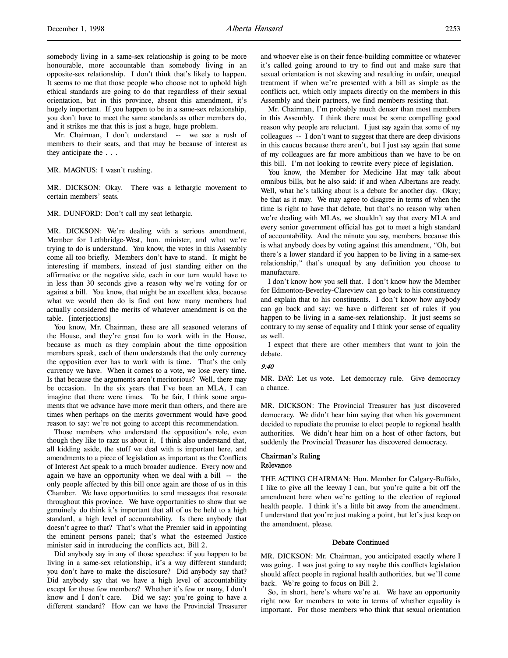somebody living in a same-sex relationship is going to be more honourable, more accountable than somebody living in an opposite-sex relationship. I don't think that's likely to happen. It seems to me that those people who choose not to uphold high ethical standards are going to do that regardless of their sexual orientation, but in this province, absent this amendment, it's hugely important. If you happen to be in a same-sex relationship, you don't have to meet the same standards as other members do, and it strikes me that this is just a huge, huge problem.

Mr. Chairman, I don't understand -- we see a rush of members to their seats, and that may be because of interest as they anticipate the . . .

### MR. MAGNUS: I wasn't rushing.

MR. DICKSON: Okay. There was a lethargic movement to certain members' seats.

### MR. DUNFORD: Don't call my seat lethargic.

MR. DICKSON: We're dealing with a serious amendment, Member for Lethbridge-West, hon. minister, and what we're trying to do is understand. You know, the votes in this Assembly come all too briefly. Members don't have to stand. It might be interesting if members, instead of just standing either on the affirmative or the negative side, each in our turn would have to in less than 30 seconds give a reason why we're voting for or against a bill. You know, that might be an excellent idea, because what we would then do is find out how many members had actually considered the merits of whatever amendment is on the table. [interjections]

You know, Mr. Chairman, these are all seasoned veterans of the House, and they're great fun to work with in the House, because as much as they complain about the time opposition members speak, each of them understands that the only currency the opposition ever has to work with is time. That's the only currency we have. When it comes to a vote, we lose every time. Is that because the arguments aren't meritorious? Well, there may be occasion. In the six years that I've been an MLA, I can imagine that there were times. To be fair, I think some arguments that we advance have more merit than others, and there are times when perhaps on the merits government would have good reason to say: we're not going to accept this recommendation.

Those members who understand the opposition's role, even though they like to razz us about it, I think also understand that, all kidding aside, the stuff we deal with is important here, and amendments to a piece of legislation as important as the Conflicts of Interest Act speak to a much broader audience. Every now and again we have an opportunity when we deal with a bill -- the only people affected by this bill once again are those of us in this Chamber. We have opportunities to send messages that resonate throughout this province. We have opportunities to show that we genuinely do think it's important that all of us be held to a high standard, a high level of accountability. Is there anybody that doesn't agree to that? That's what the Premier said in appointing the eminent persons panel; that's what the esteemed Justice minister said in introducing the conflicts act, Bill 2.

Did anybody say in any of those speeches: if you happen to be living in a same-sex relationship, it's a way different standard; you don't have to make the disclosure? Did anybody say that? Did anybody say that we have a high level of accountability except for those few members? Whether it's few or many, I don't know and I don't care. Did we say: you're going to have a different standard? How can we have the Provincial Treasurer

and whoever else is on their fence-building committee or whatever it's called going around to try to find out and make sure that sexual orientation is not skewing and resulting in unfair, unequal treatment if when we're presented with a bill as simple as the conflicts act, which only impacts directly on the members in this Assembly and their partners, we find members resisting that.

Mr. Chairman, I'm probably much denser than most members in this Assembly. I think there must be some compelling good reason why people are reluctant. I just say again that some of my colleagues -- I don't want to suggest that there are deep divisions in this caucus because there aren't, but I just say again that some of my colleagues are far more ambitious than we have to be on this bill. I'm not looking to rewrite every piece of legislation.

You know, the Member for Medicine Hat may talk about omnibus bills, but he also said: if and when Albertans are ready. Well, what he's talking about is a debate for another day. Okay; be that as it may. We may agree to disagree in terms of when the time is right to have that debate, but that's no reason why when we're dealing with MLAs, we shouldn't say that every MLA and every senior government official has got to meet a high standard of accountability. And the minute you say, members, because this is what anybody does by voting against this amendment, "Oh, but there's a lower standard if you happen to be living in a same-sex relationship," that's unequal by any definition you choose to manufacture.

I don't know how you sell that. I don't know how the Member for Edmonton-Beverley-Clareview can go back to his constituency and explain that to his constituents. I don't know how anybody can go back and say: we have a different set of rules if you happen to be living in a same-sex relationship. It just seems so contrary to my sense of equality and I think your sense of equality as well.

I expect that there are other members that want to join the debate.

### 9:40

MR. DAY: Let us vote. Let democracy rule. Give democracy a chance.

MR. DICKSON: The Provincial Treasurer has just discovered democracy. We didn't hear him saying that when his government decided to repudiate the promise to elect people to regional health authorities. We didn't hear him on a host of other factors, but suddenly the Provincial Treasurer has discovered democracy.

### Chairman's Ruling Relevance

THE ACTING CHAIRMAN: Hon. Member for Calgary-Buffalo, I like to give all the leeway I can, but you're quite a bit off the amendment here when we're getting to the election of regional health people. I think it's a little bit away from the amendment. I understand that you're just making a point, but let's just keep on the amendment, please.

### Debate Continued

MR. DICKSON: Mr. Chairman, you anticipated exactly where I was going. I was just going to say maybe this conflicts legislation should affect people in regional health authorities, but we'll come back. We're going to focus on Bill 2.

So, in short, here's where we're at. We have an opportunity right now for members to vote in terms of whether equality is important. For those members who think that sexual orientation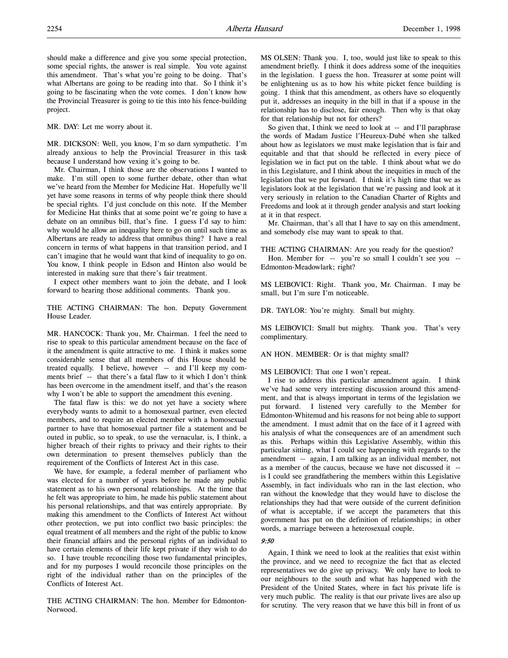should make a difference and give you some special protection, some special rights, the answer is real simple. You vote against this amendment. That's what you're going to be doing. That's what Albertans are going to be reading into that. So I think it's going to be fascinating when the vote comes. I don't know how the Provincial Treasurer is going to tie this into his fence-building project.

MR. DAY: Let me worry about it.

MR. DICKSON: Well, you know, I'm so darn sympathetic. I'm already anxious to help the Provincial Treasurer in this task because I understand how vexing it's going to be.

Mr. Chairman, I think those are the observations I wanted to make. I'm still open to some further debate, other than what we've heard from the Member for Medicine Hat. Hopefully we'll yet have some reasons in terms of why people think there should be special rights. I'd just conclude on this note. If the Member for Medicine Hat thinks that at some point we're going to have a debate on an omnibus bill, that's fine. I guess I'd say to him: why would he allow an inequality here to go on until such time as Albertans are ready to address that omnibus thing? I have a real concern in terms of what happens in that transition period, and I can't imagine that he would want that kind of inequality to go on. You know, I think people in Edson and Hinton also would be interested in making sure that there's fair treatment.

I expect other members want to join the debate, and I look forward to hearing those additional comments. Thank you.

THE ACTING CHAIRMAN: The hon. Deputy Government House Leader.

MR. HANCOCK: Thank you, Mr. Chairman. I feel the need to rise to speak to this particular amendment because on the face of it the amendment is quite attractive to me. I think it makes some considerable sense that all members of this House should be treated equally. I believe, however -- and I'll keep my comments brief -- that there's a fatal flaw to it which I don't think has been overcome in the amendment itself, and that's the reason why I won't be able to support the amendment this evening.

The fatal flaw is this: we do not yet have a society where everybody wants to admit to a homosexual partner, even elected members, and to require an elected member with a homosexual partner to have that homosexual partner file a statement and be outed in public, so to speak, to use the vernacular, is, I think, a higher breach of their rights to privacy and their rights to their own determination to present themselves publicly than the requirement of the Conflicts of Interest Act in this case.

We have, for example, a federal member of parliament who was elected for a number of years before he made any public statement as to his own personal relationships. At the time that he felt was appropriate to him, he made his public statement about his personal relationships, and that was entirely appropriate. By making this amendment to the Conflicts of Interest Act without other protection, we put into conflict two basic principles: the equal treatment of all members and the right of the public to know their financial affairs and the personal rights of an individual to have certain elements of their life kept private if they wish to do so. I have trouble reconciling those two fundamental principles, and for my purposes I would reconcile those principles on the right of the individual rather than on the principles of the Conflicts of Interest Act.

THE ACTING CHAIRMAN: The hon. Member for Edmonton-Norwood.

MS OLSEN: Thank you. I, too, would just like to speak to this amendment briefly. I think it does address some of the inequities in the legislation. I guess the hon. Treasurer at some point will be enlightening us as to how his white picket fence building is going. I think that this amendment, as others have so eloquently put it, addresses an inequity in the bill in that if a spouse in the relationship has to disclose, fair enough. Then why is that okay for that relationship but not for others?

So given that, I think we need to look at -- and I'll paraphrase the words of Madam Justice l'Heureux-Dubé when she talked about how as legislators we must make legislation that is fair and equitable and that that should be reflected in every piece of legislation we in fact put on the table. I think about what we do in this Legislature, and I think about the inequities in much of the legislation that we put forward. I think it's high time that we as legislators look at the legislation that we're passing and look at it very seriously in relation to the Canadian Charter of Rights and Freedoms and look at it through gender analysis and start looking at it in that respect.

Mr. Chairman, that's all that I have to say on this amendment, and somebody else may want to speak to that.

THE ACTING CHAIRMAN: Are you ready for the question?

Hon. Member for -- you're so small I couldn't see you --Edmonton-Meadowlark; right?

MS LEIBOVICI: Right. Thank you, Mr. Chairman. I may be small, but I'm sure I'm noticeable.

DR. TAYLOR: You're mighty. Small but mighty.

MS LEIBOVICI: Small but mighty. Thank you. That's very complimentary.

AN HON. MEMBER: Or is that mighty small?

MS LEIBOVICI: That one I won't repeat.

I rise to address this particular amendment again. I think we've had some very interesting discussion around this amendment, and that is always important in terms of the legislation we put forward. I listened very carefully to the Member for Edmonton-Whitemud and his reasons for not being able to support the amendment. I must admit that on the face of it I agreed with his analysis of what the consequences are of an amendment such as this. Perhaps within this Legislative Assembly, within this particular sitting, what I could see happening with regards to the amendment -- again, I am talking as an individual member, not as a member of the caucus, because we have not discussed it - is I could see grandfathering the members within this Legislative Assembly, in fact individuals who ran in the last election, who ran without the knowledge that they would have to disclose the relationships they had that were outside of the current definition of what is acceptable, if we accept the parameters that this government has put on the definition of relationships; in other words, a marriage between a heterosexual couple.

## 9:50

Again, I think we need to look at the realities that exist within the province, and we need to recognize the fact that as elected representatives we do give up privacy. We only have to look to our neighbours to the south and what has happened with the President of the United States, where in fact his private life is very much public. The reality is that our private lives are also up for scrutiny. The very reason that we have this bill in front of us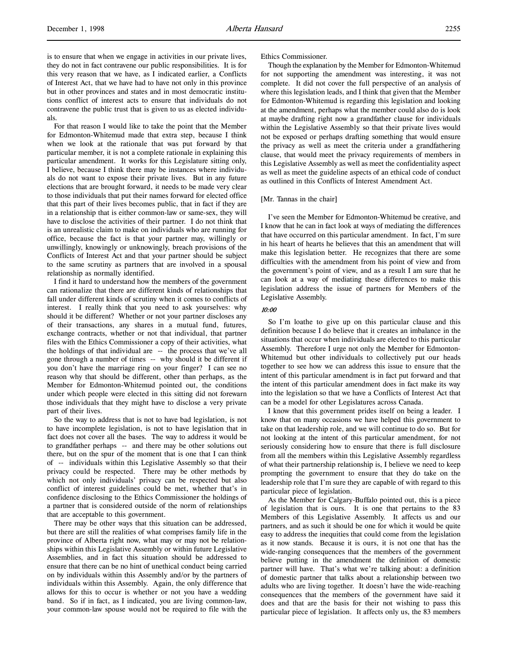is to ensure that when we engage in activities in our private lives, they do not in fact contravene our public responsibilities. It is for this very reason that we have, as I indicated earlier, a Conflicts of Interest Act, that we have had to have not only in this province but in other provinces and states and in most democratic institutions conflict of interest acts to ensure that individuals do not contravene the public trust that is given to us as elected individuals.

For that reason I would like to take the point that the Member for Edmonton-Whitemud made that extra step, because I think when we look at the rationale that was put forward by that particular member, it is not a complete rationale in explaining this particular amendment. It works for this Legislature sitting only, I believe, because I think there may be instances where individuals do not want to expose their private lives. But in any future elections that are brought forward, it needs to be made very clear to those individuals that put their names forward for elected office that this part of their lives becomes public, that in fact if they are in a relationship that is either common-law or same-sex, they will have to disclose the activities of their partner. I do not think that is an unrealistic claim to make on individuals who are running for office, because the fact is that your partner may, willingly or unwillingly, knowingly or unknowingly, breach provisions of the Conflicts of Interest Act and that your partner should be subject to the same scrutiny as partners that are involved in a spousal relationship as normally identified.

I find it hard to understand how the members of the government can rationalize that there are different kinds of relationships that fall under different kinds of scrutiny when it comes to conflicts of interest. I really think that you need to ask yourselves: why should it be different? Whether or not your partner discloses any of their transactions, any shares in a mutual fund, futures, exchange contracts, whether or not that individual, that partner files with the Ethics Commissioner a copy of their activities, what the holdings of that individual are -- the process that we've all gone through a number of times -- why should it be different if you don't have the marriage ring on your finger? I can see no reason why that should be different, other than perhaps, as the Member for Edmonton-Whitemud pointed out, the conditions under which people were elected in this sitting did not forewarn those individuals that they might have to disclose a very private part of their lives.

So the way to address that is not to have bad legislation, is not to have incomplete legislation, is not to have legislation that in fact does not cover all the bases. The way to address it would be to grandfather perhaps -- and there may be other solutions out there, but on the spur of the moment that is one that I can think of -- individuals within this Legislative Assembly so that their privacy could be respected. There may be other methods by which not only individuals' privacy can be respected but also conflict of interest guidelines could be met, whether that's in confidence disclosing to the Ethics Commissioner the holdings of a partner that is considered outside of the norm of relationships that are acceptable to this government.

There may be other ways that this situation can be addressed, but there are still the realities of what comprises family life in the province of Alberta right now, what may or may not be relationships within this Legislative Assembly or within future Legislative Assemblies, and in fact this situation should be addressed to ensure that there can be no hint of unethical conduct being carried on by individuals within this Assembly and/or by the partners of individuals within this Assembly. Again, the only difference that allows for this to occur is whether or not you have a wedding band. So if in fact, as I indicated, you are living common-law, your common-law spouse would not be required to file with the

Ethics Commissioner.

Though the explanation by the Member for Edmonton-Whitemud for not supporting the amendment was interesting, it was not complete. It did not cover the full perspective of an analysis of where this legislation leads, and I think that given that the Member for Edmonton-Whitemud is regarding this legislation and looking at the amendment, perhaps what the member could also do is look at maybe drafting right now a grandfather clause for individuals within the Legislative Assembly so that their private lives would not be exposed or perhaps drafting something that would ensure the privacy as well as meet the criteria under a grandfathering clause, that would meet the privacy requirements of members in this Legislative Assembly as well as meet the confidentiality aspect as well as meet the guideline aspects of an ethical code of conduct as outlined in this Conflicts of Interest Amendment Act.

### [Mr. Tannas in the chair]

I've seen the Member for Edmonton-Whitemud be creative, and I know that he can in fact look at ways of mediating the differences that have occurred on this particular amendment. In fact, I'm sure in his heart of hearts he believes that this an amendment that will make this legislation better. He recognizes that there are some difficulties with the amendment from his point of view and from the government's point of view, and as a result I am sure that he can look at a way of mediating these differences to make this legislation address the issue of partners for Members of the Legislative Assembly.

### 10:00

 So I'm loathe to give up on this particular clause and this definition because I do believe that it creates an imbalance in the situations that occur when individuals are elected to this particular Assembly. Therefore I urge not only the Member for Edmonton-Whitemud but other individuals to collectively put our heads together to see how we can address this issue to ensure that the intent of this particular amendment is in fact put forward and that the intent of this particular amendment does in fact make its way into the legislation so that we have a Conflicts of Interest Act that can be a model for other Legislatures across Canada.

I know that this government prides itself on being a leader. I know that on many occasions we have helped this government to take on that leadership role, and we will continue to do so. But for not looking at the intent of this particular amendment, for not seriously considering how to ensure that there is full disclosure from all the members within this Legislative Assembly regardless of what their partnership relationship is, I believe we need to keep prompting the government to ensure that they do take on the leadership role that I'm sure they are capable of with regard to this particular piece of legislation.

As the Member for Calgary-Buffalo pointed out, this is a piece of legislation that is ours. It is one that pertains to the 83 Members of this Legislative Assembly. It affects us and our partners, and as such it should be one for which it would be quite easy to address the inequities that could come from the legislation as it now stands. Because it is ours, it is not one that has the wide-ranging consequences that the members of the government believe putting in the amendment the definition of domestic partner will have. That's what we're talking about: a definition of domestic partner that talks about a relationship between two adults who are living together. It doesn't have the wide-reaching consequences that the members of the government have said it does and that are the basis for their not wishing to pass this particular piece of legislation. It affects only us, the 83 members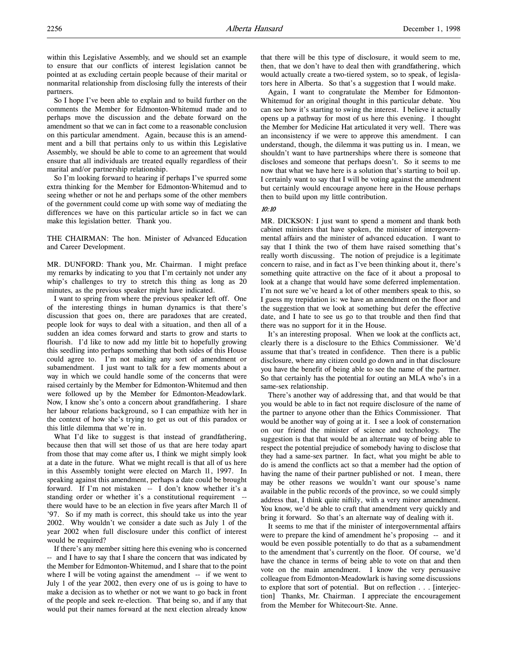within this Legislative Assembly, and we should set an example to ensure that our conflicts of interest legislation cannot be pointed at as excluding certain people because of their marital or nonmarital relationship from disclosing fully the interests of their partners.

So I hope I've been able to explain and to build further on the comments the Member for Edmonton-Whitemud made and to perhaps move the discussion and the debate forward on the amendment so that we can in fact come to a reasonable conclusion on this particular amendment. Again, because this is an amendment and a bill that pertains only to us within this Legislative Assembly, we should be able to come to an agreement that would ensure that all individuals are treated equally regardless of their marital and/or partnership relationship.

So I'm looking forward to hearing if perhaps I've spurred some extra thinking for the Member for Edmonton-Whitemud and to seeing whether or not he and perhaps some of the other members of the government could come up with some way of mediating the differences we have on this particular article so in fact we can make this legislation better. Thank you.

THE CHAIRMAN: The hon. Minister of Advanced Education and Career Development.

MR. DUNFORD: Thank you, Mr. Chairman. I might preface my remarks by indicating to you that I'm certainly not under any whip's challenges to try to stretch this thing as long as 20 minutes, as the previous speaker might have indicated.

I want to spring from where the previous speaker left off. One of the interesting things in human dynamics is that there's discussion that goes on, there are paradoxes that are created, people look for ways to deal with a situation, and then all of a sudden an idea comes forward and starts to grow and starts to flourish. I'd like to now add my little bit to hopefully growing this seedling into perhaps something that both sides of this House could agree to. I'm not making any sort of amendment or subamendment. I just want to talk for a few moments about a way in which we could handle some of the concerns that were raised certainly by the Member for Edmonton-Whitemud and then were followed up by the Member for Edmonton-Meadowlark. Now, I know she's onto a concern about grandfathering. I share her labour relations background, so I can empathize with her in the context of how she's trying to get us out of this paradox or this little dilemma that we're in.

What I'd like to suggest is that instead of grandfathering, because then that will set those of us that are here today apart from those that may come after us, I think we might simply look at a date in the future. What we might recall is that all of us here in this Assembly tonight were elected on March 11, 1997. In speaking against this amendment, perhaps a date could be brought forward. If I'm not mistaken -- I don't know whether it's a standing order or whether it's a constitutional requirement - there would have to be an election in five years after March 11 of '97. So if my math is correct, this should take us into the year 2002. Why wouldn't we consider a date such as July 1 of the year 2002 when full disclosure under this conflict of interest would be required?

If there's any member sitting here this evening who is concerned -- and I have to say that I share the concern that was indicated by the Member for Edmonton-Whitemud, and I share that to the point where I will be voting against the amendment -- if we went to July 1 of the year 2002, then every one of us is going to have to make a decision as to whether or not we want to go back in front of the people and seek re-election. That being so, and if any that would put their names forward at the next election already know

that there will be this type of disclosure, it would seem to me, then, that we don't have to deal then with grandfathering, which would actually create a two-tiered system, so to speak, of legislators here in Alberta. So that's a suggestion that I would make.

Again, I want to congratulate the Member for Edmonton-Whitemud for an original thought in this particular debate. You can see how it's starting to swing the interest. I believe it actually opens up a pathway for most of us here this evening. I thought the Member for Medicine Hat articulated it very well. There was an inconsistency if we were to approve this amendment. I can understand, though, the dilemma it was putting us in. I mean, we shouldn't want to have partnerships where there is someone that discloses and someone that perhaps doesn't. So it seems to me now that what we have here is a solution that's starting to boil up. I certainly want to say that I will be voting against the amendment but certainly would encourage anyone here in the House perhaps then to build upon my little contribution.

### 10:10

MR. DICKSON: I just want to spend a moment and thank both cabinet ministers that have spoken, the minister of intergovernmental affairs and the minister of advanced education. I want to say that I think the two of them have raised something that's really worth discussing. The notion of prejudice is a legitimate concern to raise, and in fact as I've been thinking about it, there's something quite attractive on the face of it about a proposal to look at a change that would have some deferred implementation. I'm not sure we've heard a lot of other members speak to this, so I guess my trepidation is: we have an amendment on the floor and the suggestion that we look at something but defer the effective date, and I hate to see us go to that trouble and then find that there was no support for it in the House.

It's an interesting proposal. When we look at the conflicts act, clearly there is a disclosure to the Ethics Commissioner. We'd assume that that's treated in confidence. Then there is a public disclosure, where any citizen could go down and in that disclosure you have the benefit of being able to see the name of the partner. So that certainly has the potential for outing an MLA who's in a same-sex relationship.

There's another way of addressing that, and that would be that you would be able to in fact not require disclosure of the name of the partner to anyone other than the Ethics Commissioner. That would be another way of going at it. I see a look of consternation on our friend the minister of science and technology. The suggestion is that that would be an alternate way of being able to respect the potential prejudice of somebody having to disclose that they had a same-sex partner. In fact, what you might be able to do is amend the conflicts act so that a member had the option of having the name of their partner published or not. I mean, there may be other reasons we wouldn't want our spouse's name available in the public records of the province, so we could simply address that, I think quite niftily, with a very minor amendment. You know, we'd be able to craft that amendment very quickly and bring it forward. So that's an alternate way of dealing with it.

It seems to me that if the minister of intergovernmental affairs were to prepare the kind of amendment he's proposing -- and it would be even possible potentially to do that as a subamendment to the amendment that's currently on the floor. Of course, we'd have the chance in terms of being able to vote on that and then vote on the main amendment. I know the very persuasive colleague from Edmonton-Meadowlark is having some discussions to explore that sort of potential. But on reflection . . . [interjection] Thanks, Mr. Chairman. I appreciate the encouragement from the Member for Whitecourt-Ste. Anne.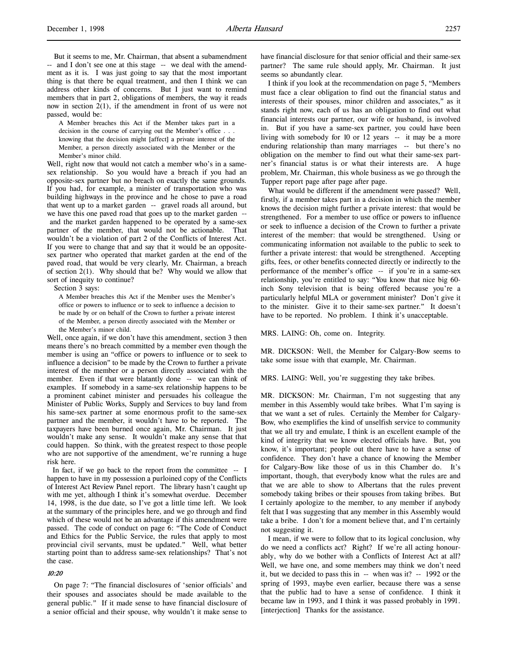But it seems to me, Mr. Chairman, that absent a subamendment -- and I don't see one at this stage -- we deal with the amendment as it is. I was just going to say that the most important thing is that there be equal treatment, and then I think we can address other kinds of concerns. But I just want to remind members that in part 2, obligations of members, the way it reads now in section 2(1), if the amendment in front of us were not passed, would be:

A Member breaches this Act if the Member takes part in a decision in the course of carrying out the Member's office . . . knowing that the decision might [affect] a private interest of the Member, a person directly associated with the Member or the Member's minor child.

Well, right now that would not catch a member who's in a samesex relationship. So you would have a breach if you had an opposite-sex partner but no breach on exactly the same grounds. If you had, for example, a minister of transportation who was building highways in the province and he chose to pave a road that went up to a market garden -- gravel roads all around, but we have this one paved road that goes up to the market garden - and the market garden happened to be operated by a same-sex partner of the member, that would not be actionable. That wouldn't be a violation of part 2 of the Conflicts of Interest Act. If you were to change that and say that it would be an oppositesex partner who operated that market garden at the end of the paved road, that would be very clearly, Mr. Chairman, a breach of section 2(1). Why should that be? Why would we allow that sort of inequity to continue?

Section 3 says:

A Member breaches this Act if the Member uses the Member's office or powers to influence or to seek to influence a decision to be made by or on behalf of the Crown to further a private interest of the Member, a person directly associated with the Member or the Member's minor child.

Well, once again, if we don't have this amendment, section 3 then means there's no breach committed by a member even though the member is using an "office or powers to influence or to seek to influence a decision" to be made by the Crown to further a private interest of the member or a person directly associated with the member. Even if that were blatantly done -- we can think of examples. If somebody in a same-sex relationship happens to be a prominent cabinet minister and persuades his colleague the Minister of Public Works, Supply and Services to buy land from his same-sex partner at some enormous profit to the same-sex partner and the member, it wouldn't have to be reported. The taxpayers have been burned once again, Mr. Chairman. It just wouldn't make any sense. It wouldn't make any sense that that could happen. So think, with the greatest respect to those people who are not supportive of the amendment, we're running a huge risk here.

In fact, if we go back to the report from the committee  $- I$ happen to have in my possession a purloined copy of the Conflicts of Interest Act Review Panel report. The library hasn't caught up with me yet, although I think it's somewhat overdue. December 14, 1998, is the due date, so I've got a little time left. We look at the summary of the principles here, and we go through and find which of these would not be an advantage if this amendment were passed. The code of conduct on page 6: "The Code of Conduct and Ethics for the Public Service, the rules that apply to most provincial civil servants, must be updated." Well, what better starting point than to address same-sex relationships? That's not the case.

### 10:20

On page 7: "The financial disclosures of 'senior officials' and their spouses and associates should be made available to the general public." If it made sense to have financial disclosure of a senior official and their spouse, why wouldn't it make sense to

have financial disclosure for that senior official and their same-sex partner? The same rule should apply, Mr. Chairman. It just seems so abundantly clear.

I think if you look at the recommendation on page 5, "Members must face a clear obligation to find out the financial status and interests of their spouses, minor children and associates," as it stands right now, each of us has an obligation to find out what financial interests our partner, our wife or husband, is involved in. But if you have a same-sex partner, you could have been living with somebody for 10 or 12 years -- it may be a more enduring relationship than many marriages -- but there's no obligation on the member to find out what their same-sex partner's financial status is or what their interests are. A huge problem, Mr. Chairman, this whole business as we go through the Tupper report page after page after page.

What would be different if the amendment were passed? Well, firstly, if a member takes part in a decision in which the member knows the decision might further a private interest: that would be strengthened. For a member to use office or powers to influence or seek to influence a decision of the Crown to further a private interest of the member: that would be strengthened. Using or communicating information not available to the public to seek to further a private interest: that would be strengthened. Accepting gifts, fees, or other benefits connected directly or indirectly to the performance of the member's office -- if you're in a same-sex relationship, you're entitled to say: "You know that nice big 60 inch Sony television that is being offered because you're a particularly helpful MLA or government minister? Don't give it to the minister. Give it to their same-sex partner." It doesn't have to be reported. No problem. I think it's unacceptable.

MRS. LAING: Oh, come on. Integrity.

MR. DICKSON: Well, the Member for Calgary-Bow seems to take some issue with that example, Mr. Chairman.

MRS. LAING: Well, you're suggesting they take bribes.

MR. DICKSON: Mr. Chairman, I'm not suggesting that any member in this Assembly would take bribes. What I'm saying is that we want a set of rules. Certainly the Member for Calgary-Bow, who exemplifies the kind of unselfish service to community that we all try and emulate, I think is an excellent example of the kind of integrity that we know elected officials have. But, you know, it's important; people out there have to have a sense of confidence. They don't have a chance of knowing the Member for Calgary-Bow like those of us in this Chamber do. It's important, though, that everybody know what the rules are and that we are able to show to Albertans that the rules prevent somebody taking bribes or their spouses from taking bribes. But I certainly apologize to the member, to any member if anybody felt that I was suggesting that any member in this Assembly would take a bribe. I don't for a moment believe that, and I'm certainly not suggesting it.

I mean, if we were to follow that to its logical conclusion, why do we need a conflicts act? Right? If we're all acting honourably, why do we bother with a Conflicts of Interest Act at all? Well, we have one, and some members may think we don't need it, but we decided to pass this in -- when was it? -- 1992 or the spring of 1993, maybe even earlier, because there was a sense that the public had to have a sense of confidence. I think it became law in 1993, and I think it was passed probably in 1991. [interjection] Thanks for the assistance.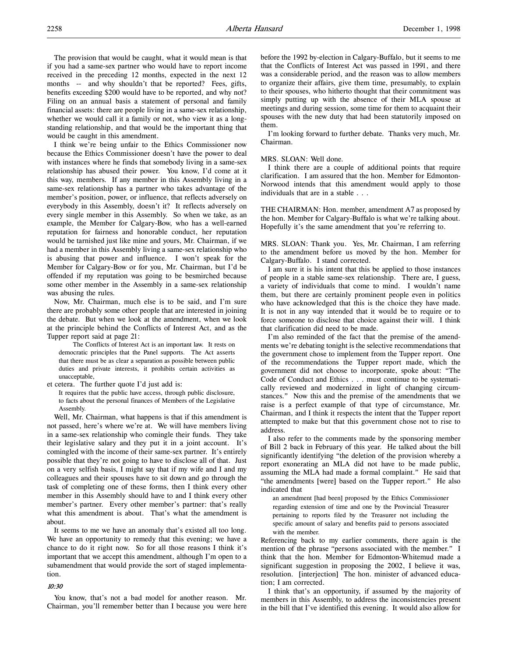The provision that would be caught, what it would mean is that if you had a same-sex partner who would have to report income received in the preceding 12 months, expected in the next 12 months -- and why shouldn't that be reported? Fees, gifts, benefits exceeding \$200 would have to be reported, and why not? Filing on an annual basis a statement of personal and family financial assets: there are people living in a same-sex relationship, whether we would call it a family or not, who view it as a longstanding relationship, and that would be the important thing that would be caught in this amendment.

I think we're being unfair to the Ethics Commissioner now because the Ethics Commissioner doesn't have the power to deal with instances where he finds that somebody living in a same-sex relationship has abused their power. You know, I'd come at it this way, members. If any member in this Assembly living in a same-sex relationship has a partner who takes advantage of the member's position, power, or influence, that reflects adversely on everybody in this Assembly, doesn't it? It reflects adversely on every single member in this Assembly. So when we take, as an example, the Member for Calgary-Bow, who has a well-earned reputation for fairness and honorable conduct, her reputation would be tarnished just like mine and yours, Mr. Chairman, if we had a member in this Assembly living a same-sex relationship who is abusing that power and influence. I won't speak for the Member for Calgary-Bow or for you, Mr. Chairman, but I'd be offended if my reputation was going to be besmirched because some other member in the Assembly in a same-sex relationship was abusing the rules.

Now, Mr. Chairman, much else is to be said, and I'm sure there are probably some other people that are interested in joining the debate. But when we look at the amendment, when we look at the principle behind the Conflicts of Interest Act, and as the Tupper report said at page 21:

The Conflicts of Interest Act is an important law. It rests on democratic principles that the Panel supports. The Act asserts that there must be as clear a separation as possible between public duties and private interests, it prohibits certain activities as unacceptable,

et cetera. The further quote I'd just add is:

It requires that the public have access, through public disclosure, to facts about the personal finances of Members of the Legislative Assembly.

Well, Mr. Chairman, what happens is that if this amendment is not passed, here's where we're at. We will have members living in a same-sex relationship who comingle their funds. They take their legislative salary and they put it in a joint account. It's comingled with the income of their same-sex partner. It's entirely possible that they're not going to have to disclose all of that. Just on a very selfish basis, I might say that if my wife and I and my colleagues and their spouses have to sit down and go through the task of completing one of these forms, then I think every other member in this Assembly should have to and I think every other member's partner. Every other member's partner: that's really what this amendment is about. That's what the amendment is about.

It seems to me we have an anomaly that's existed all too long. We have an opportunity to remedy that this evening; we have a chance to do it right now. So for all those reasons I think it's important that we accept this amendment, although I'm open to a subamendment that would provide the sort of staged implementation.

#### 10:30

You know, that's not a bad model for another reason. Mr. Chairman, you'll remember better than I because you were here before the 1992 by-election in Calgary-Buffalo, but it seems to me that the Conflicts of Interest Act was passed in 1991, and there was a considerable period, and the reason was to allow members to organize their affairs, give them time, presumably, to explain to their spouses, who hitherto thought that their commitment was simply putting up with the absence of their MLA spouse at meetings and during session, some time for them to acquaint their spouses with the new duty that had been statutorily imposed on them.

I'm looking forward to further debate. Thanks very much, Mr. Chairman.

#### MRS. SLOAN: Well done.

I think there are a couple of additional points that require clarification. I am assured that the hon. Member for Edmonton-Norwood intends that this amendment would apply to those individuals that are in a stable . . .

THE CHAIRMAN: Hon. member, amendment A7 as proposed by the hon. Member for Calgary-Buffalo is what we're talking about. Hopefully it's the same amendment that you're referring to.

MRS. SLOAN: Thank you. Yes, Mr. Chairman, I am referring to the amendment before us moved by the hon. Member for Calgary-Buffalo. I stand corrected.

I am sure it is his intent that this be applied to those instances of people in a stable same-sex relationship. There are, I guess, a variety of individuals that come to mind. I wouldn't name them, but there are certainly prominent people even in politics who have acknowledged that this is the choice they have made. It is not in any way intended that it would be to require or to force someone to disclose that choice against their will. I think that clarification did need to be made.

I'm also reminded of the fact that the premise of the amendments we're debating tonight is the selective recommendations that the government chose to implement from the Tupper report. One of the recommendations the Tupper report made, which the government did not choose to incorporate, spoke about: "The Code of Conduct and Ethics . . . must continue to be systematically reviewed and modernized in light of changing circumstances." Now this and the premise of the amendments that we raise is a perfect example of that type of circumstance, Mr. Chairman, and I think it respects the intent that the Tupper report attempted to make but that this government chose not to rise to address.

I also refer to the comments made by the sponsoring member of Bill 2 back in February of this year. He talked about the bill significantly identifying "the deletion of the provision whereby a report exonerating an MLA did not have to be made public, assuming the MLA had made a formal complaint." He said that "the amendments [were] based on the Tupper report." He also indicated that

an amendment [had been] proposed by the Ethics Commissioner regarding extension of time and one by the Provincial Treasurer pertaining to reports filed by the Treasurer not including the specific amount of salary and benefits paid to persons associated with the member.

Referencing back to my earlier comments, there again is the mention of the phrase "persons associated with the member." I think that the hon. Member for Edmonton-Whitemud made a significant suggestion in proposing the 2002, I believe it was, resolution. [interjection] The hon. minister of advanced education; I am corrected.

I think that's an opportunity, if assumed by the majority of members in this Assembly, to address the inconsistencies present in the bill that I've identified this evening. It would also allow for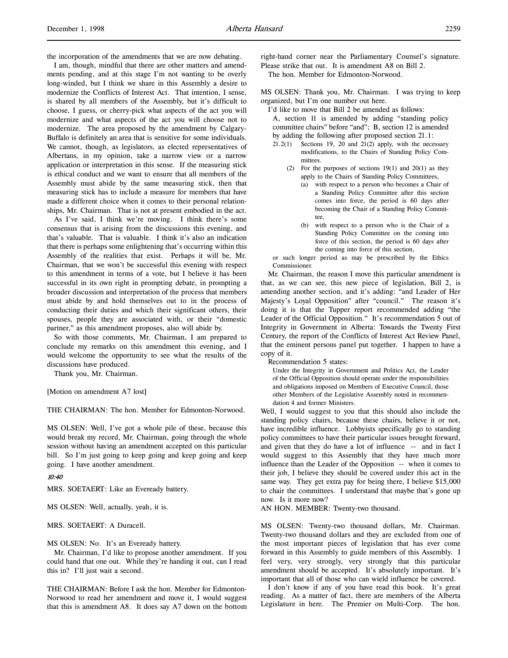I am, though, mindful that there are other matters and amendments pending, and at this stage I'm not wanting to be overly long-winded, but I think we share in this Assembly a desire to modernize the Conflicts of Interest Act. That intention, I sense, is shared by all members of the Assembly, but it's difficult to choose, I guess, or cherry-pick what aspects of the act you will modernize and what aspects of the act you will choose not to modernize. The area proposed by the amendment by Calgary-Buffalo is definitely an area that is sensitive for some individuals. We cannot, though, as legislators, as elected representatives of Albertans, in my opinion, take a narrow view or a narrow application or interpretation in this sense. If the measuring stick is ethical conduct and we want to ensure that all members of the Assembly must abide by the same measuring stick, then that measuring stick has to include a measure for members that have made a different choice when it comes to their personal relationships, Mr. Chairman. That is not at present embodied in the act.

As I've said, I think we're moving. I think there's some consensus that is arising from the discussions this evening, and that's valuable. That is valuable. I think it's also an indication that there is perhaps some enlightening that's occurring within this Assembly of the realities that exist. Perhaps it will be, Mr. Chairman, that we won't be successful this evening with respect to this amendment in terms of a vote, but I believe it has been successful in its own right in prompting debate, in prompting a broader discussion and interpretation of the process that members must abide by and hold themselves out to in the process of conducting their duties and which their significant others, their spouses, people they are associated with, or their "domestic partner," as this amendment proposes, also will abide by.

So with those comments, Mr. Chairman, I am prepared to conclude my remarks on this amendment this evening, and I would welcome the opportunity to see what the results of the discussions have produced.

Thank you, Mr. Chairman.

[Motion on amendment A7 lost]

THE CHAIRMAN: The hon. Member for Edmonton-Norwood.

MS OLSEN: Well, I've got a whole pile of these, because this would break my record, Mr. Chairman, going through the whole session without having an amendment accepted on this particular bill. So I'm just going to keep going and keep going and keep going. I have another amendment.

#### 10:40

MRS. SOETAERT: Like an Eveready battery.

MS OLSEN: Well, actually, yeah, it is.

MRS. SOETAERT: A Duracell.

MS OLSEN: No. It's an Eveready battery.

Mr. Chairman, I'd like to propose another amendment. If you could hand that one out. While they're handing it out, can I read this in? I'll just wait a second.

THE CHAIRMAN: Before I ask the hon. Member for Edmonton-Norwood to read her amendment and move it, I would suggest that this is amendment A8. It does say A7 down on the bottom right-hand corner near the Parliamentary Counsel's signature. Please strike that out. It is amendment A8 on Bill 2. The hon. Member for Edmonton-Norwood.

MS OLSEN: Thank you, Mr. Chairman. I was trying to keep organized, but I'm one number out here.

I'd like to move that Bill 2 be amended as follows: A, section 11 is amended by adding "standing policy committee chairs" before "and"; B, section 12 is amended by adding the following after proposed section 21.1:

- 21.2(1) Sections 19, 20 and 21(2) apply, with the necessary modifications, to the Chairs of Standing Policy Committees.
	- (2) For the purposes of sections 19(1) and 20(1) as they apply to the Chairs of Standing Policy Committees,
		- (a) with respect to a person who becomes a Chair of a Standing Policy Committee after this section comes into force, the period is 60 days after becoming the Chair of a Standing Policy Committee,
		- (b) with respect to a person who is the Chair of a Standing Policy Committee on the coming into force of this section, the period is 60 days after the coming into force of this section,

or such longer period as may be prescribed by the Ethics Commissioner.

Mr. Chairman, the reason I move this particular amendment is that, as we can see, this new piece of legislation, Bill 2, is amending another section, and it's adding: "and Leader of Her Majesty's Loyal Opposition" after "council." The reason it's doing it is that the Tupper report recommended adding "the Leader of the Official Opposition." It's recommendation 5 out of Integrity in Government in Alberta: Towards the Twenty First Century, the report of the Conflicts of Interest Act Review Panel, that the eminent persons panel put together. I happen to have a copy of it.

Recommendation 5 states:

Under the Integrity in Government and Politics Act, the Leader of the Official Opposition should operate under the responsibilities and obligations imposed on Members of Executive Council, those other Members of the Legislative Assembly noted in recommendation 4 and former Ministers.

Well, I would suggest to you that this should also include the standing policy chairs, because these chairs, believe it or not, have incredible influence. Lobbyists specifically go to standing policy committees to have their particular issues brought forward, and given that they do have a lot of influence -- and in fact I would suggest to this Assembly that they have much more influence than the Leader of the Opposition -- when it comes to their job, I believe they should be covered under this act in the same way. They get extra pay for being there, I believe \$15,000 to chair the committees. I understand that maybe that's gone up now. Is it more now?

AN HON. MEMBER: Twenty-two thousand.

MS OLSEN: Twenty-two thousand dollars, Mr. Chairman. Twenty-two thousand dollars and they are excluded from one of the most important pieces of legislation that has ever come forward in this Assembly to guide members of this Assembly. I feel very, very strongly, very strongly that this particular amendment should be accepted. It's absolutely important. It's important that all of those who can wield influence be covered.

I don't know if any of you have read this book. It's great reading. As a matter of fact, there are members of the Alberta Legislature in here. The Premier on Multi-Corp. The hon.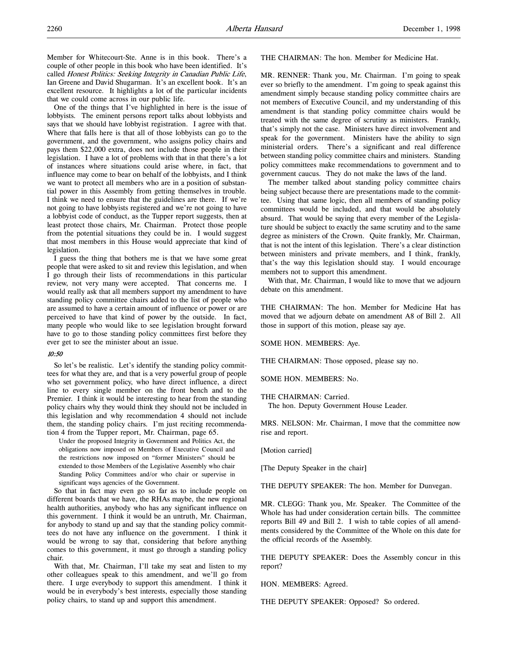One of the things that I've highlighted in here is the issue of lobbyists. The eminent persons report talks about lobbyists and says that we should have lobbyist registration. I agree with that. Where that falls here is that all of those lobbyists can go to the government, and the government, who assigns policy chairs and pays them \$22,000 extra, does not include those people in their legislation. I have a lot of problems with that in that there's a lot of instances where situations could arise where, in fact, that influence may come to bear on behalf of the lobbyists, and I think we want to protect all members who are in a position of substantial power in this Assembly from getting themselves in trouble. I think we need to ensure that the guidelines are there. If we're not going to have lobbyists registered and we're not going to have a lobbyist code of conduct, as the Tupper report suggests, then at least protect those chairs, Mr. Chairman. Protect those people from the potential situations they could be in. I would suggest that most members in this House would appreciate that kind of legislation.

I guess the thing that bothers me is that we have some great people that were asked to sit and review this legislation, and when I go through their lists of recommendations in this particular review, not very many were accepted. That concerns me. I would really ask that all members support my amendment to have standing policy committee chairs added to the list of people who are assumed to have a certain amount of influence or power or are perceived to have that kind of power by the outside. In fact, many people who would like to see legislation brought forward have to go to those standing policy committees first before they ever get to see the minister about an issue.

### 10:50

So let's be realistic. Let's identify the standing policy committees for what they are, and that is a very powerful group of people who set government policy, who have direct influence, a direct line to every single member on the front bench and to the Premier. I think it would be interesting to hear from the standing policy chairs why they would think they should not be included in this legislation and why recommendation 4 should not include them, the standing policy chairs. I'm just reciting recommendation 4 from the Tupper report, Mr. Chairman, page 65.

Under the proposed Integrity in Government and Politics Act, the obligations now imposed on Members of Executive Council and the restrictions now imposed on "former Ministers" should be extended to those Members of the Legislative Assembly who chair Standing Policy Committees and/or who chair or supervise in significant ways agencies of the Government.

So that in fact may even go so far as to include people on different boards that we have, the RHAs maybe, the new regional health authorities, anybody who has any significant influence on this government. I think it would be an untruth, Mr. Chairman, for anybody to stand up and say that the standing policy committees do not have any influence on the government. I think it would be wrong to say that, considering that before anything comes to this government, it must go through a standing policy chair.

With that, Mr. Chairman, I'll take my seat and listen to my other colleagues speak to this amendment, and we'll go from there. I urge everybody to support this amendment. I think it would be in everybody's best interests, especially those standing policy chairs, to stand up and support this amendment.

THE CHAIRMAN: The hon. Member for Medicine Hat.

MR. RENNER: Thank you, Mr. Chairman. I'm going to speak ever so briefly to the amendment. I'm going to speak against this amendment simply because standing policy committee chairs are not members of Executive Council, and my understanding of this amendment is that standing policy committee chairs would be treated with the same degree of scrutiny as ministers. Frankly, that's simply not the case. Ministers have direct involvement and speak for the government. Ministers have the ability to sign ministerial orders. There's a significant and real difference between standing policy committee chairs and ministers. Standing policy committees make recommendations to government and to government caucus. They do not make the laws of the land.

The member talked about standing policy committee chairs being subject because there are presentations made to the committee. Using that same logic, then all members of standing policy committees would be included, and that would be absolutely absurd. That would be saying that every member of the Legislature should be subject to exactly the same scrutiny and to the same degree as ministers of the Crown. Quite frankly, Mr. Chairman, that is not the intent of this legislation. There's a clear distinction between ministers and private members, and I think, frankly, that's the way this legislation should stay. I would encourage members not to support this amendment.

With that, Mr. Chairman, I would like to move that we adjourn debate on this amendment.

THE CHAIRMAN: The hon. Member for Medicine Hat has moved that we adjourn debate on amendment A8 of Bill 2. All those in support of this motion, please say aye.

SOME HON. MEMBERS: Aye.

THE CHAIRMAN: Those opposed, please say no.

SOME HON. MEMBERS: No.

THE CHAIRMAN: Carried.

The hon. Deputy Government House Leader.

MRS. NELSON: Mr. Chairman, I move that the committee now rise and report.

[Motion carried]

[The Deputy Speaker in the chair]

THE DEPUTY SPEAKER: The hon. Member for Dunvegan.

MR. CLEGG: Thank you, Mr. Speaker. The Committee of the Whole has had under consideration certain bills. The committee reports Bill 49 and Bill 2. I wish to table copies of all amendments considered by the Committee of the Whole on this date for the official records of the Assembly.

THE DEPUTY SPEAKER: Does the Assembly concur in this report?

HON. MEMBERS: Agreed.

THE DEPUTY SPEAKER: Opposed? So ordered.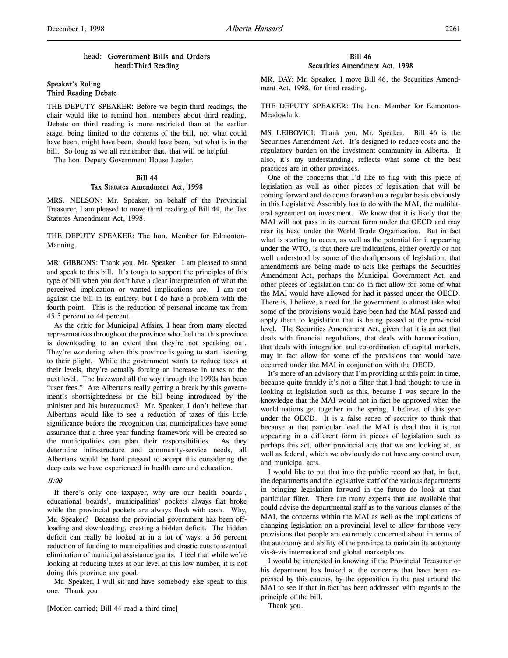# head: Government Bills and Orders head:Third Reading

# Speaker's Ruling Third Reading Debate

THE DEPUTY SPEAKER: Before we begin third readings, the chair would like to remind hon. members about third reading. Debate on third reading is more restricted than at the earlier stage, being limited to the contents of the bill, not what could have been, might have been, should have been, but what is in the bill. So long as we all remember that, that will be helpful.

The hon. Deputy Government House Leader.

# Bill 44 Tax Statutes Amendment Act, 1998

MRS. NELSON: Mr. Speaker, on behalf of the Provincial Treasurer, I am pleased to move third reading of Bill 44, the Tax Statutes Amendment Act, 1998.

THE DEPUTY SPEAKER: The hon. Member for Edmonton-Manning.

MR. GIBBONS: Thank you, Mr. Speaker. I am pleased to stand and speak to this bill. It's tough to support the principles of this type of bill when you don't have a clear interpretation of what the perceived implication or wanted implications are. I am not against the bill in its entirety, but I do have a problem with the fourth point. This is the reduction of personal income tax from 45.5 percent to 44 percent.

As the critic for Municipal Affairs, I hear from many elected representatives throughout the province who feel that this province is downloading to an extent that they're not speaking out. They're wondering when this province is going to start listening to their plight. While the government wants to reduce taxes at their levels, they're actually forcing an increase in taxes at the next level. The buzzword all the way through the 1990s has been "user fees." Are Albertans really getting a break by this government's shortsightedness or the bill being introduced by the minister and his bureaucrats? Mr. Speaker, I don't believe that Albertans would like to see a reduction of taxes of this little significance before the recognition that municipalities have some assurance that a three-year funding framework will be created so the municipalities can plan their responsibilities. As they determine infrastructure and community-service needs, all Albertans would be hard pressed to accept this considering the deep cuts we have experienced in health care and education.

## 11:00

If there's only one taxpayer, why are our health boards', educational boards', municipalities' pockets always flat broke while the provincial pockets are always flush with cash. Why, Mr. Speaker? Because the provincial government has been offloading and downloading, creating a hidden deficit. The hidden deficit can really be looked at in a lot of ways: a 56 percent reduction of funding to municipalities and drastic cuts to eventual elimination of municipal assistance grants. I feel that while we're looking at reducing taxes at our level at this low number, it is not doing this province any good.

Mr. Speaker, I will sit and have somebody else speak to this one. Thank you.

[Motion carried; Bill 44 read a third time]

# Bill 46 Securities Amendment Act, 1998

MR. DAY: Mr. Speaker, I move Bill 46, the Securities Amendment Act, 1998, for third reading.

THE DEPUTY SPEAKER: The hon. Member for Edmonton-Meadowlark.

MS LEIBOVICI: Thank you, Mr. Speaker. Bill 46 is the Securities Amendment Act. It's designed to reduce costs and the regulatory burden on the investment community in Alberta. It also, it's my understanding, reflects what some of the best practices are in other provinces.

One of the concerns that I'd like to flag with this piece of legislation as well as other pieces of legislation that will be coming forward and do come forward on a regular basis obviously in this Legislative Assembly has to do with the MAI, the multilateral agreement on investment. We know that it is likely that the MAI will not pass in its current form under the OECD and may rear its head under the World Trade Organization. But in fact what is starting to occur, as well as the potential for it appearing under the WTO, is that there are indications, either overtly or not well understood by some of the draftpersons of legislation, that amendments are being made to acts like perhaps the Securities Amendment Act, perhaps the Municipal Government Act, and other pieces of legislation that do in fact allow for some of what the MAI would have allowed for had it passed under the OECD. There is, I believe, a need for the government to almost take what some of the provisions would have been had the MAI passed and apply them to legislation that is being passed at the provincial level. The Securities Amendment Act, given that it is an act that deals with financial regulations, that deals with harmonization, that deals with integration and co-ordination of capital markets, may in fact allow for some of the provisions that would have occurred under the MAI in conjunction with the OECD.

It's more of an advisory that I'm providing at this point in time, because quite frankly it's not a filter that I had thought to use in looking at legislation such as this, because I was secure in the knowledge that the MAI would not in fact be approved when the world nations get together in the spring, I believe, of this year under the OECD. It is a false sense of security to think that because at that particular level the MAI is dead that it is not appearing in a different form in pieces of legislation such as perhaps this act, other provincial acts that we are looking at, as well as federal, which we obviously do not have any control over, and municipal acts.

I would like to put that into the public record so that, in fact, the departments and the legislative staff of the various departments in bringing legislation forward in the future do look at that particular filter. There are many experts that are available that could advise the departmental staff as to the various clauses of the MAI, the concerns within the MAI as well as the implications of changing legislation on a provincial level to allow for those very provisions that people are extremely concerned about in terms of the autonomy and ability of the province to maintain its autonomy vis-à-vis international and global marketplaces.

I would be interested in knowing if the Provincial Treasurer or his department has looked at the concerns that have been expressed by this caucus, by the opposition in the past around the MAI to see if that in fact has been addressed with regards to the principle of the bill.

Thank you.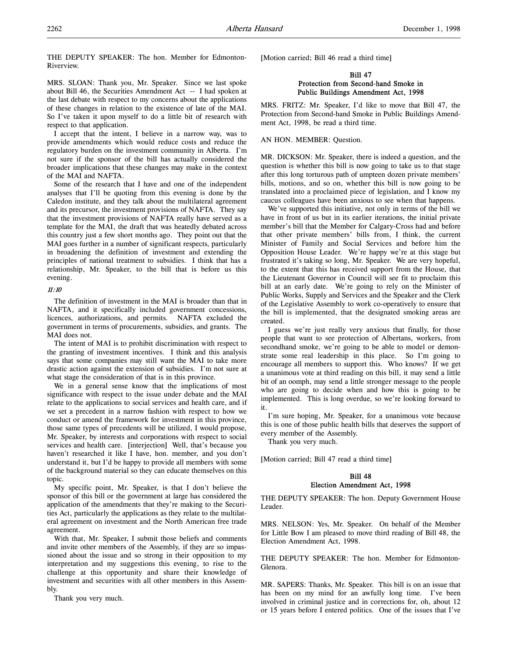THE DEPUTY SPEAKER: The hon. Member for Edmonton-Riverview.

MRS. SLOAN: Thank you, Mr. Speaker. Since we last spoke about Bill 46, the Securities Amendment Act -- I had spoken at the last debate with respect to my concerns about the applications of these changes in relation to the existence of late of the MAI. So I've taken it upon myself to do a little bit of research with respect to that application.

I accept that the intent, I believe in a narrow way, was to provide amendments which would reduce costs and reduce the regulatory burden on the investment community in Alberta. I'm not sure if the sponsor of the bill has actually considered the broader implications that these changes may make in the context of the MAI and NAFTA.

Some of the research that I have and one of the independent analyses that I'll be quoting from this evening is done by the Caledon institute, and they talk about the multilateral agreement and its precursor, the investment provisions of NAFTA. They say that the investment provisions of NAFTA really have served as a template for the MAI, the draft that was heatedly debated across this country just a few short months ago. They point out that the MAI goes further in a number of significant respects, particularly in broadening the definition of investment and extending the principles of national treatment to subsidies. I think that has a relationship, Mr. Speaker, to the bill that is before us this evening.

### 11:10

The definition of investment in the MAI is broader than that in NAFTA, and it specifically included government concessions, licences, authorizations, and permits. NAFTA excluded the government in terms of procurements, subsidies, and grants. The MAI does not.

The intent of MAI is to prohibit discrimination with respect to the granting of investment incentives. I think and this analysis says that some companies may still want the MAI to take more drastic action against the extension of subsidies. I'm not sure at what stage the consideration of that is in this province.

We in a general sense know that the implications of most significance with respect to the issue under debate and the MAI relate to the applications to social services and health care, and if we set a precedent in a narrow fashion with respect to how we conduct or amend the framework for investment in this province, those same types of precedents will be utilized, I would propose, Mr. Speaker, by interests and corporations with respect to social services and health care. [interjection] Well, that's because you haven't researched it like I have, hon. member, and you don't understand it, but I'd be happy to provide all members with some of the background material so they can educate themselves on this topic.

My specific point, Mr. Speaker, is that I don't believe the sponsor of this bill or the government at large has considered the application of the amendments that they're making to the Securities Act, particularly the applications as they relate to the multilateral agreement on investment and the North American free trade agreement.

With that, Mr. Speaker, I submit those beliefs and comments and invite other members of the Assembly, if they are so impassioned about the issue and so strong in their opposition to my interpretation and my suggestions this evening, to rise to the challenge at this opportunity and share their knowledge of investment and securities with all other members in this Assembly.

Thank you very much.

[Motion carried; Bill 46 read a third time]

## Bill 47 Protection from Second-hand Smoke in Public Buildings Amendment Act, 1998

MRS. FRITZ: Mr. Speaker, I'd like to move that Bill 47, the Protection from Second-hand Smoke in Public Buildings Amendment Act, 1998, be read a third time.

### AN HON. MEMBER: Question.

MR. DICKSON: Mr. Speaker, there is indeed a question, and the question is whether this bill is now going to take us to that stage after this long torturous path of umpteen dozen private members' bills, motions, and so on, whether this bill is now going to be translated into a proclaimed piece of legislation, and I know my caucus colleagues have been anxious to see when that happens.

We've supported this initiative, not only in terms of the bill we have in front of us but in its earlier iterations, the initial private member's bill that the Member for Calgary-Cross had and before that other private members' bills from, I think, the current Minister of Family and Social Services and before him the Opposition House Leader. We're happy we're at this stage but frustrated it's taking so long, Mr. Speaker. We are very hopeful, to the extent that this has received support from the House, that the Lieutenant Governor in Council will see fit to proclaim this bill at an early date. We're going to rely on the Minister of Public Works, Supply and Services and the Speaker and the Clerk of the Legislative Assembly to work co-operatively to ensure that the bill is implemented, that the designated smoking areas are created.

I guess we're just really very anxious that finally, for those people that want to see protection of Albertans, workers, from secondhand smoke, we're going to be able to model or demonstrate some real leadership in this place. So I'm going to encourage all members to support this. Who knows? If we get a unanimous vote at third reading on this bill, it may send a little bit of an oomph, may send a little stronger message to the people who are going to decide when and how this is going to be implemented. This is long overdue, so we're looking forward to it.

I'm sure hoping, Mr. Speaker, for a unanimous vote because this is one of those public health bills that deserves the support of every member of the Assembly.

Thank you very much.

[Motion carried; Bill 47 read a third time]

## Bill 48 Election Amendment Act, 1998

THE DEPUTY SPEAKER: The hon. Deputy Government House Leader.

MRS. NELSON: Yes, Mr. Speaker. On behalf of the Member for Little Bow I am pleased to move third reading of Bill 48, the Election Amendment Act, 1998.

THE DEPUTY SPEAKER: The hon. Member for Edmonton-Glenora.

MR. SAPERS: Thanks, Mr. Speaker. This bill is on an issue that has been on my mind for an awfully long time. I've been involved in criminal justice and in corrections for, oh, about 12 or 15 years before I entered politics. One of the issues that I've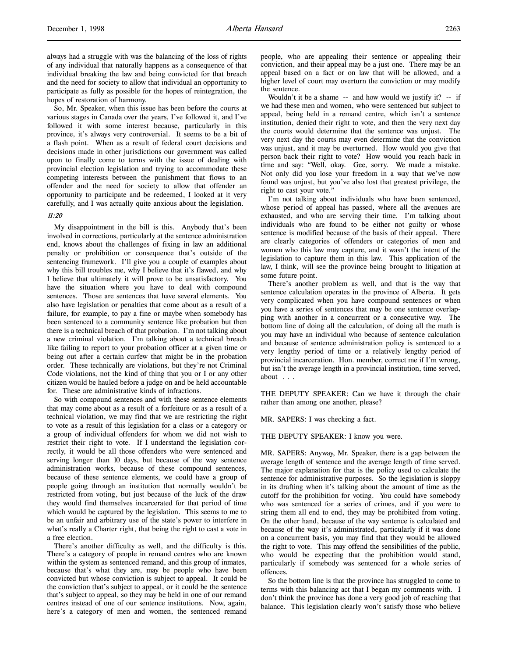always had a struggle with was the balancing of the loss of rights of any individual that naturally happens as a consequence of that individual breaking the law and being convicted for that breach and the need for society to allow that individual an opportunity to participate as fully as possible for the hopes of reintegration, the hopes of restoration of harmony.

So, Mr. Speaker, when this issue has been before the courts at various stages in Canada over the years, I've followed it, and I've followed it with some interest because, particularly in this province, it's always very controversial. It seems to be a bit of a flash point. When as a result of federal court decisions and decisions made in other jurisdictions our government was called upon to finally come to terms with the issue of dealing with provincial election legislation and trying to accommodate these competing interests between the punishment that flows to an offender and the need for society to allow that offender an opportunity to participate and be redeemed, I looked at it very carefully, and I was actually quite anxious about the legislation.

### 11:20

My disappointment in the bill is this. Anybody that's been involved in corrections, particularly at the sentence administration end, knows about the challenges of fixing in law an additional penalty or prohibition or consequence that's outside of the sentencing framework. I'll give you a couple of examples about why this bill troubles me, why I believe that it's flawed, and why I believe that ultimately it will prove to be unsatisfactory. You have the situation where you have to deal with compound sentences. Those are sentences that have several elements. You also have legislation or penalties that come about as a result of a failure, for example, to pay a fine or maybe when somebody has been sentenced to a community sentence like probation but then there is a technical breach of that probation. I'm not talking about a new criminal violation. I'm talking about a technical breach like failing to report to your probation officer at a given time or being out after a certain curfew that might be in the probation order. These technically are violations, but they're not Criminal Code violations, not the kind of thing that you or I or any other citizen would be hauled before a judge on and be held accountable for. These are administrative kinds of infractions.

So with compound sentences and with these sentence elements that may come about as a result of a forfeiture or as a result of a technical violation, we may find that we are restricting the right to vote as a result of this legislation for a class or a category or a group of individual offenders for whom we did not wish to restrict their right to vote. If I understand the legislation correctly, it would be all those offenders who were sentenced and serving longer than 10 days, but because of the way sentence administration works, because of these compound sentences, because of these sentence elements, we could have a group of people going through an institution that normally wouldn't be restricted from voting, but just because of the luck of the draw they would find themselves incarcerated for that period of time which would be captured by the legislation. This seems to me to be an unfair and arbitrary use of the state's power to interfere in what's really a Charter right, that being the right to cast a vote in a free election.

There's another difficulty as well, and the difficulty is this. There's a category of people in remand centres who are known within the system as sentenced remand, and this group of inmates, because that's what they are, may be people who have been convicted but whose conviction is subject to appeal. It could be the conviction that's subject to appeal, or it could be the sentence that's subject to appeal, so they may be held in one of our remand centres instead of one of our sentence institutions. Now, again, here's a category of men and women, the sentenced remand

people, who are appealing their sentence or appealing their conviction, and their appeal may be a just one. There may be an appeal based on a fact or on law that will be allowed, and a higher level of court may overturn the conviction or may modify the sentence.

Wouldn't it be a shame  $-$  and how would we justify it?  $-$  if we had these men and women, who were sentenced but subject to appeal, being held in a remand centre, which isn't a sentence institution, denied their right to vote, and then the very next day the courts would determine that the sentence was unjust. The very next day the courts may even determine that the conviction was unjust, and it may be overturned. How would you give that person back their right to vote? How would you reach back in time and say: "Well, okay. Gee, sorry. We made a mistake. Not only did you lose your freedom in a way that we've now found was unjust, but you've also lost that greatest privilege, the right to cast your vote."

I'm not talking about individuals who have been sentenced, whose period of appeal has passed, where all the avenues are exhausted, and who are serving their time. I'm talking about individuals who are found to be either not guilty or whose sentence is modified because of the basis of their appeal. There are clearly categories of offenders or categories of men and women who this law may capture, and it wasn't the intent of the legislation to capture them in this law. This application of the law, I think, will see the province being brought to litigation at some future point.

There's another problem as well, and that is the way that sentence calculation operates in the province of Alberta. It gets very complicated when you have compound sentences or when you have a series of sentences that may be one sentence overlapping with another in a concurrent or a consecutive way. The bottom line of doing all the calculation, of doing all the math is you may have an individual who because of sentence calculation and because of sentence administration policy is sentenced to a very lengthy period of time or a relatively lengthy period of provincial incarceration. Hon. member, correct me if I'm wrong, but isn't the average length in a provincial institution, time served, about . . .

THE DEPUTY SPEAKER: Can we have it through the chair rather than among one another, please?

MR. SAPERS: I was checking a fact.

### THE DEPUTY SPEAKER: I know you were.

MR. SAPERS: Anyway, Mr. Speaker, there is a gap between the average length of sentence and the average length of time served. The major explanation for that is the policy used to calculate the sentence for administrative purposes. So the legislation is sloppy in its drafting when it's talking about the amount of time as the cutoff for the prohibition for voting. You could have somebody who was sentenced for a series of crimes, and if you were to string them all end to end, they may be prohibited from voting. On the other hand, because of the way sentence is calculated and because of the way it's administrated, particularly if it was done on a concurrent basis, you may find that they would be allowed the right to vote. This may offend the sensibilities of the public, who would be expecting that the prohibition would stand, particularly if somebody was sentenced for a whole series of offences.

So the bottom line is that the province has struggled to come to terms with this balancing act that I began my comments with. I don't think the province has done a very good job of reaching that balance. This legislation clearly won't satisfy those who believe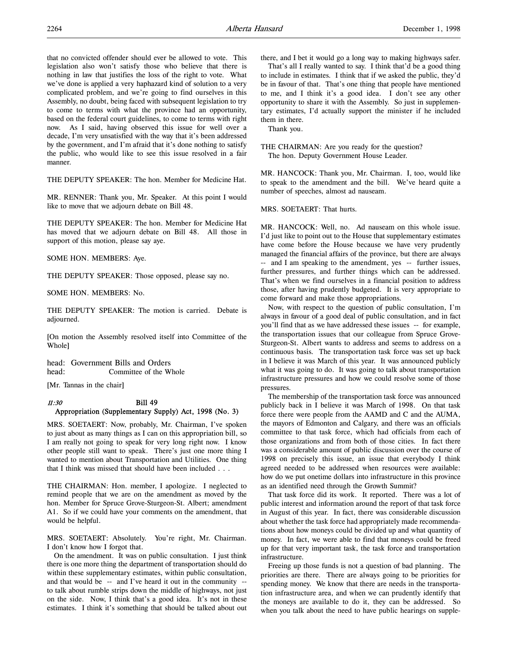that no convicted offender should ever be allowed to vote. This legislation also won't satisfy those who believe that there is nothing in law that justifies the loss of the right to vote. What we've done is applied a very haphazard kind of solution to a very complicated problem, and we're going to find ourselves in this Assembly, no doubt, being faced with subsequent legislation to try to come to terms with what the province had an opportunity, based on the federal court guidelines, to come to terms with right now. As I said, having observed this issue for well over a decade, I'm very unsatisfied with the way that it's been addressed by the government, and I'm afraid that it's done nothing to satisfy the public, who would like to see this issue resolved in a fair manner.

THE DEPUTY SPEAKER: The hon. Member for Medicine Hat.

MR. RENNER: Thank you, Mr. Speaker. At this point I would like to move that we adjourn debate on Bill 48.

THE DEPUTY SPEAKER: The hon. Member for Medicine Hat has moved that we adjourn debate on Bill 48. All those in support of this motion, please say aye.

SOME HON. MEMBERS: Aye.

THE DEPUTY SPEAKER: Those opposed, please say no.

SOME HON. MEMBERS: No.

THE DEPUTY SPEAKER: The motion is carried. Debate is adjourned.

[On motion the Assembly resolved itself into Committee of the Whole]

head: Government Bills and Orders head: Committee of the Whole

[Mr. Tannas in the chair]

## 11:30 Bill 49 Appropriation (Supplementary Supply) Act, 1998 (No. 3)

MRS. SOETAERT: Now, probably, Mr. Chairman, I've spoken to just about as many things as I can on this appropriation bill, so I am really not going to speak for very long right now. I know other people still want to speak. There's just one more thing I wanted to mention about Transportation and Utilities. One thing that I think was missed that should have been included . . .

THE CHAIRMAN: Hon. member, I apologize. I neglected to remind people that we are on the amendment as moved by the hon. Member for Spruce Grove-Sturgeon-St. Albert; amendment A1. So if we could have your comments on the amendment, that would be helpful.

MRS. SOETAERT: Absolutely. You're right, Mr. Chairman. I don't know how I forgot that.

On the amendment. It was on public consultation. I just think there is one more thing the department of transportation should do within these supplementary estimates, within public consultation, and that would be -- and I've heard it out in the community - to talk about rumble strips down the middle of highways, not just on the side. Now, I think that's a good idea. It's not in these estimates. I think it's something that should be talked about out there, and I bet it would go a long way to making highways safer.

That's all I really wanted to say. I think that'd be a good thing to include in estimates. I think that if we asked the public, they'd be in favour of that. That's one thing that people have mentioned to me, and I think it's a good idea. I don't see any other opportunity to share it with the Assembly. So just in supplementary estimates, I'd actually support the minister if he included them in there.

Thank you.

THE CHAIRMAN: Are you ready for the question? The hon. Deputy Government House Leader.

MR. HANCOCK: Thank you, Mr. Chairman. I, too, would like to speak to the amendment and the bill. We've heard quite a number of speeches, almost ad nauseam.

MRS. SOETAERT: That hurts.

MR. HANCOCK: Well, no. Ad nauseam on this whole issue. I'd just like to point out to the House that supplementary estimates have come before the House because we have very prudently managed the financial affairs of the province, but there are always -- and I am speaking to the amendment, yes -- further issues, further pressures, and further things which can be addressed. That's when we find ourselves in a financial position to address those, after having prudently budgeted. It is very appropriate to come forward and make those appropriations.

Now, with respect to the question of public consultation, I'm always in favour of a good deal of public consultation, and in fact you'll find that as we have addressed these issues -- for example, the transportation issues that our colleague from Spruce Grove-Sturgeon-St. Albert wants to address and seems to address on a continuous basis. The transportation task force was set up back in I believe it was March of this year. It was announced publicly what it was going to do. It was going to talk about transportation infrastructure pressures and how we could resolve some of those pressures.

The membership of the transportation task force was announced publicly back in I believe it was March of 1998. On that task force there were people from the AAMD and C and the AUMA, the mayors of Edmonton and Calgary, and there was an officials committee to that task force, which had officials from each of those organizations and from both of those cities. In fact there was a considerable amount of public discussion over the course of 1998 on precisely this issue, an issue that everybody I think agreed needed to be addressed when resources were available: how do we put onetime dollars into infrastructure in this province as an identified need through the Growth Summit?

That task force did its work. It reported. There was a lot of public interest and information around the report of that task force in August of this year. In fact, there was considerable discussion about whether the task force had appropriately made recommendations about how moneys could be divided up and what quantity of money. In fact, we were able to find that moneys could be freed up for that very important task, the task force and transportation infrastructure.

Freeing up those funds is not a question of bad planning. The priorities are there. There are always going to be priorities for spending money. We know that there are needs in the transportation infrastructure area, and when we can prudently identify that the moneys are available to do it, they can be addressed. So when you talk about the need to have public hearings on supple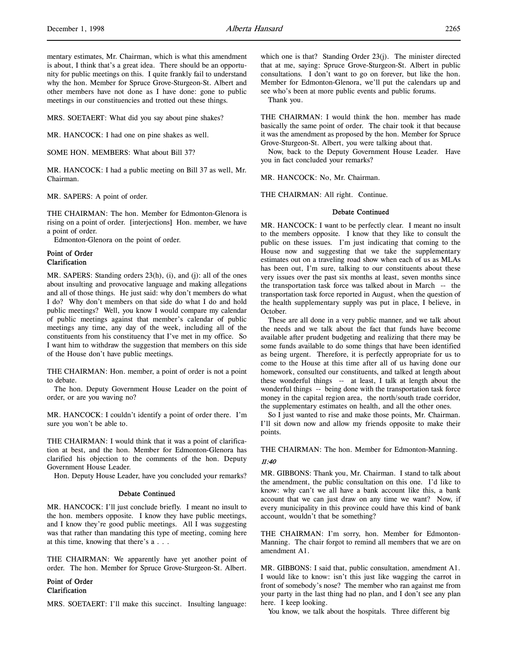mentary estimates, Mr. Chairman, which is what this amendment is about, I think that's a great idea. There should be an opportunity for public meetings on this. I quite frankly fail to understand why the hon. Member for Spruce Grove-Sturgeon-St. Albert and other members have not done as I have done: gone to public meetings in our constituencies and trotted out these things.

MRS. SOETAERT: What did you say about pine shakes?

MR. HANCOCK: I had one on pine shakes as well.

SOME HON. MEMBERS: What about Bill 37?

MR. HANCOCK: I had a public meeting on Bill 37 as well, Mr. Chairman.

MR. SAPERS: A point of order.

THE CHAIRMAN: The hon. Member for Edmonton-Glenora is rising on a point of order. [interjections] Hon. member, we have a point of order.

Edmonton-Glenora on the point of order.

# Point of Order Clarification

MR. SAPERS: Standing orders 23(h), (i), and (j): all of the ones about insulting and provocative language and making allegations and all of those things. He just said: why don't members do what I do? Why don't members on that side do what I do and hold public meetings? Well, you know I would compare my calendar of public meetings against that member's calendar of public meetings any time, any day of the week, including all of the constituents from his constituency that I've met in my office. So I want him to withdraw the suggestion that members on this side of the House don't have public meetings.

THE CHAIRMAN: Hon. member, a point of order is not a point to debate.

The hon. Deputy Government House Leader on the point of order, or are you waving no?

MR. HANCOCK: I couldn't identify a point of order there. I'm sure you won't be able to.

THE CHAIRMAN: I would think that it was a point of clarification at best, and the hon. Member for Edmonton-Glenora has clarified his objection to the comments of the hon. Deputy Government House Leader.

Hon. Deputy House Leader, have you concluded your remarks?

### Debate Continued

MR. HANCOCK: I'll just conclude briefly. I meant no insult to the hon. members opposite. I know they have public meetings, and I know they're good public meetings. All I was suggesting was that rather than mandating this type of meeting, coming here at this time, knowing that there's a . . .

THE CHAIRMAN: We apparently have yet another point of order. The hon. Member for Spruce Grove-Sturgeon-St. Albert.

# Point of Order Clarification

MRS. SOETAERT: I'll make this succinct. Insulting language:

which one is that? Standing Order 23(j). The minister directed that at me, saying: Spruce Grove-Sturgeon-St. Albert in public consultations. I don't want to go on forever, but like the hon. Member for Edmonton-Glenora, we'll put the calendars up and see who's been at more public events and public forums.

Thank you.

THE CHAIRMAN: I would think the hon. member has made basically the same point of order. The chair took it that because it was the amendment as proposed by the hon. Member for Spruce Grove-Sturgeon-St. Albert, you were talking about that.

Now, back to the Deputy Government House Leader. Have you in fact concluded your remarks?

MR. HANCOCK: No, Mr. Chairman.

THE CHAIRMAN: All right. Continue.

### Debate Continued

MR. HANCOCK: I want to be perfectly clear. I meant no insult to the members opposite. I know that they like to consult the public on these issues. I'm just indicating that coming to the House now and suggesting that we take the supplementary estimates out on a traveling road show when each of us as MLAs has been out, I'm sure, talking to our constituents about these very issues over the past six months at least, seven months since the transportation task force was talked about in March -- the transportation task force reported in August, when the question of the health supplementary supply was put in place, I believe, in October.

These are all done in a very public manner, and we talk about the needs and we talk about the fact that funds have become available after prudent budgeting and realizing that there may be some funds available to do some things that have been identified as being urgent. Therefore, it is perfectly appropriate for us to come to the House at this time after all of us having done our homework, consulted our constituents, and talked at length about these wonderful things -- at least, I talk at length about the wonderful things -- being done with the transportation task force money in the capital region area, the north/south trade corridor, the supplementary estimates on health, and all the other ones.

So I just wanted to rise and make those points, Mr. Chairman. I'll sit down now and allow my friends opposite to make their points.

THE CHAIRMAN: The hon. Member for Edmonton-Manning.

### 11:40

MR. GIBBONS: Thank you, Mr. Chairman. I stand to talk about the amendment, the public consultation on this one. I'd like to know: why can't we all have a bank account like this, a bank account that we can just draw on any time we want? Now, if every municipality in this province could have this kind of bank account, wouldn't that be something?

THE CHAIRMAN: I'm sorry, hon. Member for Edmonton-Manning. The chair forgot to remind all members that we are on amendment A1.

MR. GIBBONS: I said that, public consultation, amendment A1. I would like to know: isn't this just like wagging the carrot in front of somebody's nose? The member who ran against me from your party in the last thing had no plan, and I don't see any plan here. I keep looking.

You know, we talk about the hospitals. Three different big